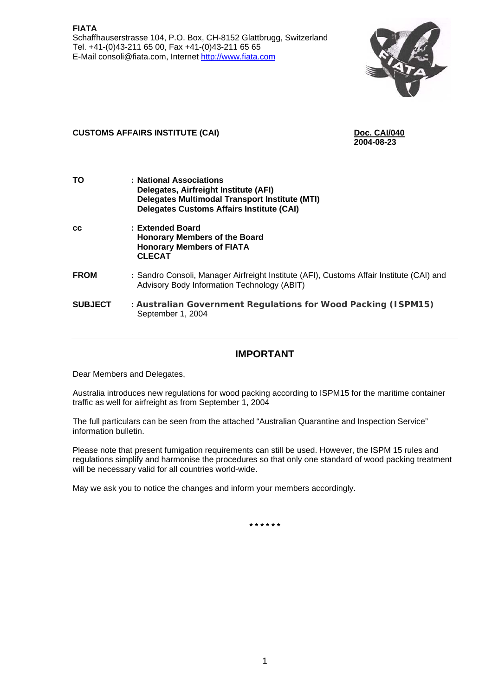

### **CUSTOMS AFFAIRS INSTITUTE (CAI)** Doc. CAI/040<br>2004-08-23

**2004-08-23** 

| ΤO             | : National Associations<br>Delegates, Airfreight Institute (AFI)<br><b>Delegates Multimodal Transport Institute (MTI)</b><br><b>Delegates Customs Affairs Institute (CAI)</b> |
|----------------|-------------------------------------------------------------------------------------------------------------------------------------------------------------------------------|
| <b>CC</b>      | : Extended Board<br><b>Honorary Members of the Board</b><br><b>Honorary Members of FIATA</b><br><b>CLECAT</b>                                                                 |
| <b>FROM</b>    | : Sandro Consoli, Manager Airfreight Institute (AFI), Customs Affair Institute (CAI) and<br>Advisory Body Information Technology (ABIT)                                       |
| <b>SUBJECT</b> | : Australian Government Regulations for Wood Packing (ISPM15)<br>September 1, 2004                                                                                            |

#### **IMPORTANT**

Dear Members and Delegates,

Australia introduces new regulations for wood packing according to ISPM15 for the maritime container traffic as well for airfreight as from September 1, 2004

The full particulars can be seen from the attached "Australian Quarantine and Inspection Service" information bulletin.

Please note that present fumigation requirements can still be used. However, the ISPM 15 rules and regulations simplify and harmonise the procedures so that only one standard of wood packing treatment will be necessary valid for all countries world-wide.

May we ask you to notice the changes and inform your members accordingly.

**\* \* \* \* \* \***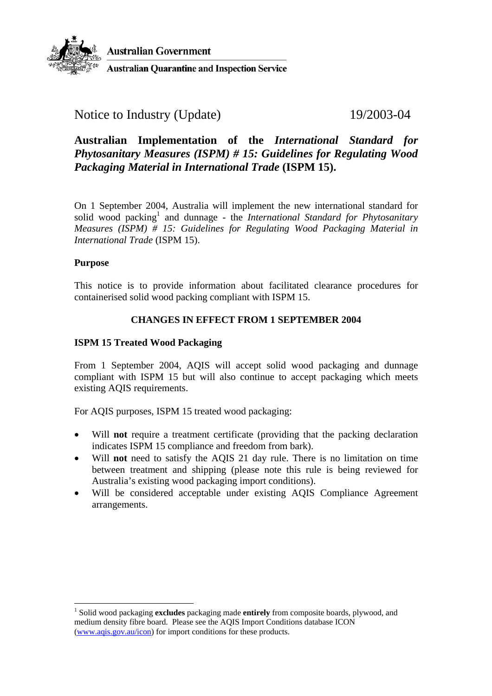

#### Notice to Industry (Update) 19/2003-04

#### **Australian Implementation of the** *International Standard for Phytosanitary Measures (ISPM) # 15: Guidelines for Regulating Wood Packaging Material in International Trade* **(ISPM 15).**

On 1 September 2004, Australia will implement the new international standard for solid wood packing<sup>1</sup> and dunnage - the *International Standard for Phytosanitary Measures (ISPM) # 15: Guidelines for Regulating Wood Packaging Material in International Trade* (ISPM 15).

#### **Purpose**

 $\overline{a}$ 

This notice is to provide information about facilitated clearance procedures for containerised solid wood packing compliant with ISPM 15.

#### **CHANGES IN EFFECT FROM 1 SEPTEMBER 2004**

#### **ISPM 15 Treated Wood Packaging**

From 1 September 2004, AQIS will accept solid wood packaging and dunnage compliant with ISPM 15 but will also continue to accept packaging which meets existing AQIS requirements.

For AQIS purposes, ISPM 15 treated wood packaging:

- Will **not** require a treatment certificate (providing that the packing declaration indicates ISPM 15 compliance and freedom from bark).
- Will **not** need to satisfy the AQIS 21 day rule. There is no limitation on time between treatment and shipping (please note this rule is being reviewed for Australia's existing wood packaging import conditions).
- Will be considered acceptable under existing AQIS Compliance Agreement arrangements.

<span id="page-1-0"></span><sup>1</sup> Solid wood packaging **excludes** packaging made **entirely** from composite boards, plywood, and medium density fibre board. Please see the AQIS Import Conditions database ICON [\(www.aqis.gov.au/icon\)](http://www.aqis.gov.au/icon) for import conditions for these products.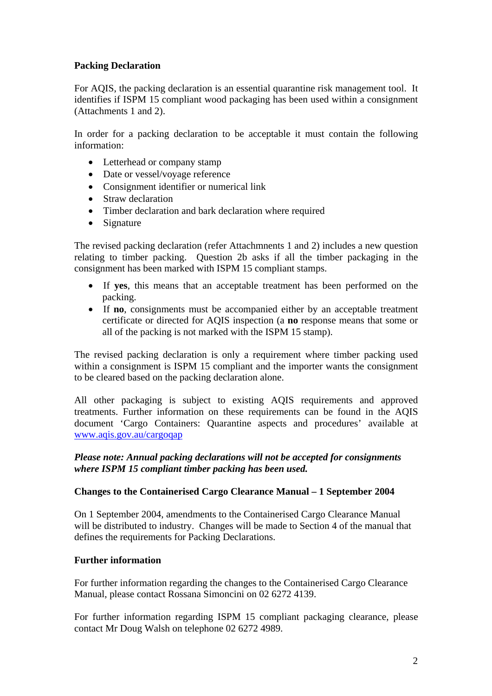#### **Packing Declaration**

For AQIS, the packing declaration is an essential quarantine risk management tool. It identifies if ISPM 15 compliant wood packaging has been used within a consignment (Attachments 1 and 2).

In order for a packing declaration to be acceptable it must contain the following information:

- Letterhead or company stamp
- Date or vessel/voyage reference
- Consignment identifier or numerical link
- Straw declaration
- Timber declaration and bark declaration where required
- Signature

The revised packing declaration (refer Attachmnents 1 and 2) includes a new question relating to timber packing. Question 2b asks if all the timber packaging in the consignment has been marked with ISPM 15 compliant stamps.

- If **yes**, this means that an acceptable treatment has been performed on the packing.
- If **no**, consignments must be accompanied either by an acceptable treatment certificate or directed for AQIS inspection (a **no** response means that some or all of the packing is not marked with the ISPM 15 stamp).

The revised packing declaration is only a requirement where timber packing used within a consignment is ISPM 15 compliant and the importer wants the consignment to be cleared based on the packing declaration alone.

All other packaging is subject to existing AQIS requirements and approved treatments. Further information on these requirements can be found in the AQIS document 'Cargo Containers: Quarantine aspects and procedures' available at [www.aqis.gov.au/cargoqap](http://www.aqis.gov.au/cargoqap)

#### *Please note: Annual packing declarations will not be accepted for consignments where ISPM 15 compliant timber packing has been used.*

#### **Changes to the Containerised Cargo Clearance Manual – 1 September 2004**

On 1 September 2004, amendments to the Containerised Cargo Clearance Manual will be distributed to industry. Changes will be made to Section 4 of the manual that defines the requirements for Packing Declarations.

#### **Further information**

For further information regarding the changes to the Containerised Cargo Clearance Manual, please contact Rossana Simoncini on 02 6272 4139.

For further information regarding ISPM 15 compliant packaging clearance, please contact Mr Doug Walsh on telephone 02 6272 4989.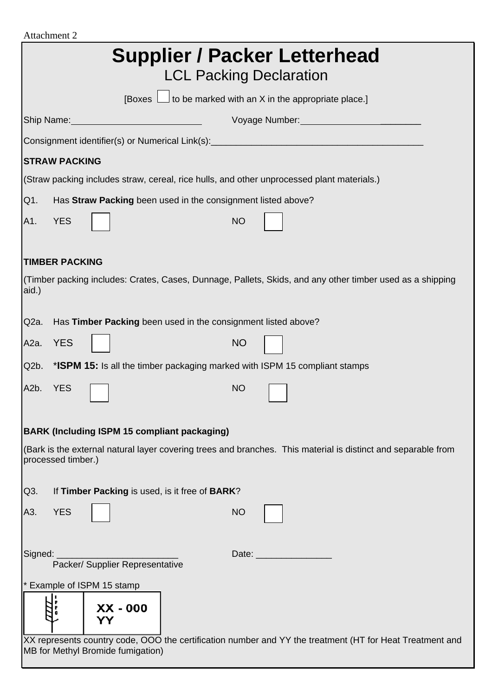| Attachment 2                                                                                                                                  |  |  |
|-----------------------------------------------------------------------------------------------------------------------------------------------|--|--|
| <b>Supplier / Packer Letterhead</b><br><b>LCL Packing Declaration</b>                                                                         |  |  |
| [Boxes $\Box$ to be marked with an X in the appropriate place.]                                                                               |  |  |
| Ship Name:<br>Voyage Number: Voyage                                                                                                           |  |  |
|                                                                                                                                               |  |  |
| <b>STRAW PACKING</b>                                                                                                                          |  |  |
| (Straw packing includes straw, cereal, rice hulls, and other unprocessed plant materials.)                                                    |  |  |
| Q1.<br>Has Straw Packing been used in the consignment listed above?                                                                           |  |  |
| A1.<br><b>YES</b><br><b>NO</b>                                                                                                                |  |  |
| <b>TIMBER PACKING</b>                                                                                                                         |  |  |
| (Timber packing includes: Crates, Cases, Dunnage, Pallets, Skids, and any other timber used as a shipping<br>aid.)                            |  |  |
| Has Timber Packing been used in the consignment listed above?<br>Q <sub>2</sub> a.                                                            |  |  |
| <b>YES</b><br><b>NO</b><br>A <sub>2</sub> a.                                                                                                  |  |  |
| Q <sub>2</sub> b.<br>*ISPM 15: Is all the timber packaging marked with ISPM 15 compliant stamps                                               |  |  |
| A <sub>2</sub> b.<br><b>YES</b><br><b>NO</b>                                                                                                  |  |  |
| <b>BARK (Including ISPM 15 compliant packaging)</b>                                                                                           |  |  |
| (Bark is the external natural layer covering trees and branches. This material is distinct and separable from<br>processed timber.)           |  |  |
| Q3.<br>If Timber Packing is used, is it free of BARK?                                                                                         |  |  |
| <b>YES</b><br><b>NO</b><br>A3.                                                                                                                |  |  |
| Signed:<br>Date: ____________<br>Packer/ Supplier Representative                                                                              |  |  |
| * Example of ISPM 15 stamp                                                                                                                    |  |  |
| XX - 000<br>YΥ                                                                                                                                |  |  |
| XX represents country code, OOO the certification number and YY the treatment (HT for Heat Treatment and<br>MB for Methyl Bromide fumigation) |  |  |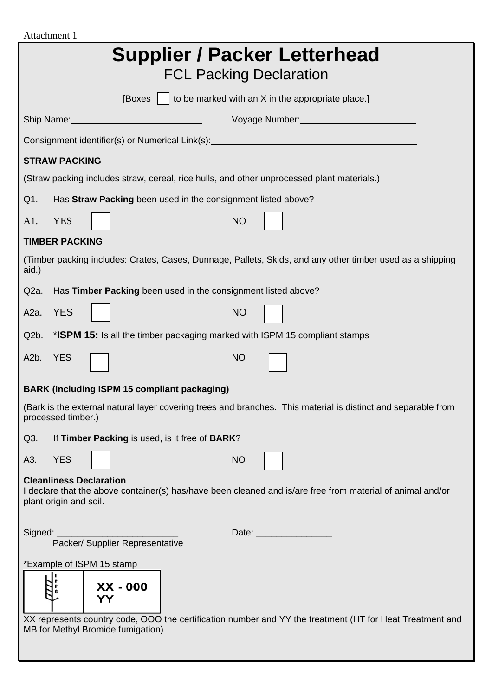| Attachment 1                                                                                                                                                                                                                                                   |  |  |
|----------------------------------------------------------------------------------------------------------------------------------------------------------------------------------------------------------------------------------------------------------------|--|--|
| <b>Supplier / Packer Letterhead</b><br><b>FCL Packing Declaration</b>                                                                                                                                                                                          |  |  |
| [Boxes $\vert$   to be marked with an X in the appropriate place.]                                                                                                                                                                                             |  |  |
| Voyage Number: Voyage Number:<br>Ship Name: Name: Name and Ship Name and Ship Name and Ship Name and Ship Name and Ship Name and Ship Name and Ship Name and Ship Name and Ship Name and Ship Name and Ship Name and Ship Name and Ship Name and Ship Name and |  |  |
| Consignment identifier(s) or Numerical Link(s): ________________________________                                                                                                                                                                               |  |  |
| <b>STRAW PACKING</b>                                                                                                                                                                                                                                           |  |  |
| (Straw packing includes straw, cereal, rice hulls, and other unprocessed plant materials.)                                                                                                                                                                     |  |  |
| Has Straw Packing been used in the consignment listed above?<br>Q1.                                                                                                                                                                                            |  |  |
| A1.<br><b>YES</b><br>N <sub>O</sub>                                                                                                                                                                                                                            |  |  |
| <b>TIMBER PACKING</b>                                                                                                                                                                                                                                          |  |  |
| (Timber packing includes: Crates, Cases, Dunnage, Pallets, Skids, and any other timber used as a shipping<br>aid.)                                                                                                                                             |  |  |
| Has Timber Packing been used in the consignment listed above?<br>Q <sub>2</sub> a.                                                                                                                                                                             |  |  |
| <b>YES</b><br><b>NO</b><br>A2a.                                                                                                                                                                                                                                |  |  |
| * <b>ISPM 15:</b> Is all the timber packaging marked with ISPM 15 compliant stamps<br>Q <sub>2</sub> b.                                                                                                                                                        |  |  |
| <b>YES</b><br>A <sub>2</sub> b.<br><b>NO</b>                                                                                                                                                                                                                   |  |  |
| <b>BARK (Including ISPM 15 compliant packaging)</b>                                                                                                                                                                                                            |  |  |
| (Bark is the external natural layer covering trees and branches. This material is distinct and separable from<br>processed timber.)                                                                                                                            |  |  |
| Q3.<br>If Timber Packing is used, is it free of BARK?                                                                                                                                                                                                          |  |  |
| <b>NO</b><br><b>YES</b><br>A3.                                                                                                                                                                                                                                 |  |  |
| <b>Cleanliness Declaration</b><br>I declare that the above container(s) has/have been cleaned and is/are free from material of animal and/or<br>plant origin and soil.                                                                                         |  |  |
| Signed:<br>Packer/ Supplier Representative                                                                                                                                                                                                                     |  |  |
| *Example of ISPM 15 stamp<br>XX - 000<br>YY<br>XX represents country code, OOO the certification number and YY the treatment (HT for Heat Treatment and<br>MB for Methyl Bromide fumigation)                                                                   |  |  |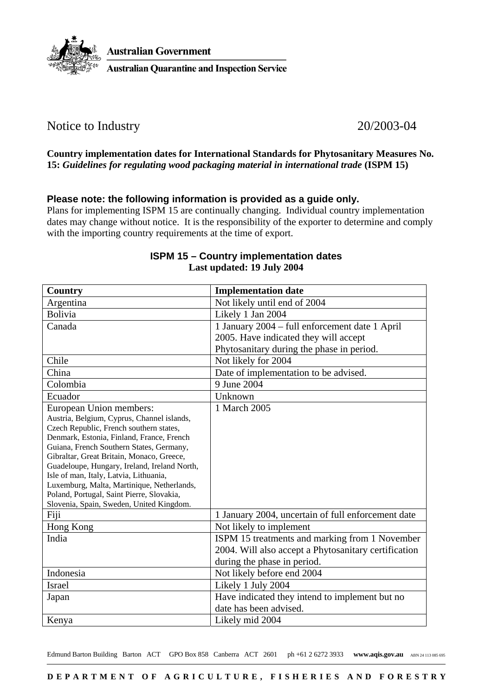

#### Notice to Industry 20/2003-04

#### **Country implementation dates for International Standards for Phytosanitary Measures No. 15:** *Guidelines for regulating wood packaging material in international trade* **(ISPM 15)**

#### **Please note: the following information is provided as a guide only.**

Plans for implementing ISPM 15 are continually changing. Individual country implementation dates may change without notice. It is the responsibility of the exporter to determine and comply with the importing country requirements at the time of export.

| Country                                                                                 | <b>Implementation date</b>                           |
|-----------------------------------------------------------------------------------------|------------------------------------------------------|
| Argentina                                                                               | Not likely until end of 2004                         |
| <b>Bolivia</b>                                                                          | Likely 1 Jan 2004                                    |
| Canada                                                                                  | 1 January 2004 - full enforcement date 1 April       |
|                                                                                         | 2005. Have indicated they will accept                |
|                                                                                         | Phytosanitary during the phase in period.            |
| Chile                                                                                   | Not likely for 2004                                  |
| China                                                                                   | Date of implementation to be advised.                |
| Colombia                                                                                | 9 June 2004                                          |
| Ecuador                                                                                 | Unknown                                              |
| European Union members:                                                                 | 1 March 2005                                         |
| Austria, Belgium, Cyprus, Channel islands,                                              |                                                      |
| Czech Republic, French southern states,                                                 |                                                      |
| Denmark, Estonia, Finland, France, French                                               |                                                      |
| Guiana, French Southern States, Germany,                                                |                                                      |
| Gibraltar, Great Britain, Monaco, Greece,                                               |                                                      |
| Guadeloupe, Hungary, Ireland, Ireland North,                                            |                                                      |
| Isle of man, Italy, Latvia, Lithuania,                                                  |                                                      |
| Luxemburg, Malta, Martinique, Netherlands,<br>Poland, Portugal, Saint Pierre, Slovakia, |                                                      |
| Slovenia, Spain, Sweden, United Kingdom.                                                |                                                      |
| Fiji                                                                                    | 1 January 2004, uncertain of full enforcement date   |
| Hong Kong                                                                               | Not likely to implement                              |
| India                                                                                   | ISPM 15 treatments and marking from 1 November       |
|                                                                                         | 2004. Will also accept a Phytosanitary certification |
|                                                                                         | during the phase in period.                          |
| Indonesia                                                                               | Not likely before end 2004                           |
| <b>Israel</b>                                                                           | Likely 1 July 2004                                   |
| Japan                                                                                   | Have indicated they intend to implement but no       |
|                                                                                         | date has been advised.                               |
| Kenya                                                                                   | Likely mid 2004                                      |

#### **ISPM 15 – Country implementation dates Last updated: 19 July 2004**

Edmund Barton Building Barton ACT GPO Box 858 Canberra ACT 2601 ph +61 2 6272 3933 www.aqis.gov.au ABN 24 113 085 695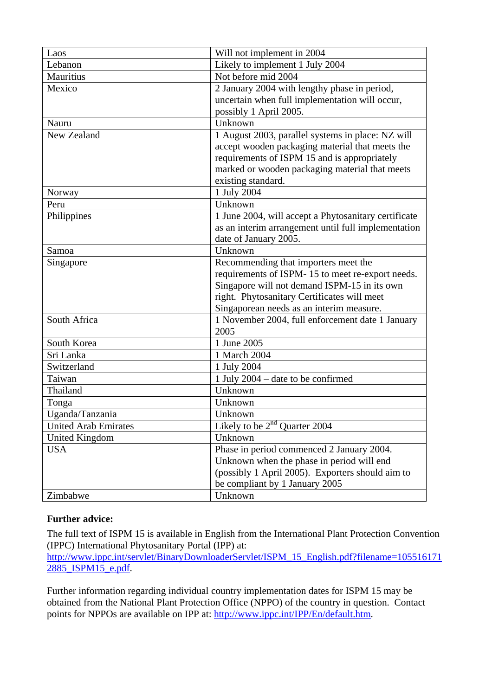| Laos                  | Will not implement in 2004                           |
|-----------------------|------------------------------------------------------|
| Lebanon               | Likely to implement 1 July 2004                      |
| Mauritius             | Not before mid 2004                                  |
| Mexico                | 2 January 2004 with lengthy phase in period,         |
|                       | uncertain when full implementation will occur,       |
|                       | possibly 1 April 2005.                               |
| Nauru                 | Unknown                                              |
| New Zealand           | 1 August 2003, parallel systems in place: NZ will    |
|                       | accept wooden packaging material that meets the      |
|                       | requirements of ISPM 15 and is appropriately         |
|                       | marked or wooden packaging material that meets       |
|                       | existing standard.                                   |
| Norway                | 1 July 2004                                          |
| Peru                  | Unknown                                              |
| Philippines           | 1 June 2004, will accept a Phytosanitary certificate |
|                       | as an interim arrangement until full implementation  |
|                       | date of January 2005.                                |
| Samoa                 | Unknown                                              |
| Singapore             | Recommending that importers meet the                 |
|                       | requirements of ISPM-15 to meet re-export needs.     |
|                       | Singapore will not demand ISPM-15 in its own         |
|                       | right. Phytosanitary Certificates will meet          |
|                       | Singaporean needs as an interim measure.             |
| South Africa          | 1 November 2004, full enforcement date 1 January     |
|                       | 2005                                                 |
| South Korea           | 1 June 2005                                          |
| Sri Lanka             | 1 March 2004                                         |
| Switzerland           | 1 July 2004                                          |
| Taiwan                | 1 July 2004 – date to be confirmed                   |
| Thailand              | Unknown                                              |
| Tonga                 | Unknown                                              |
| Uganda/Tanzania       | Unknown                                              |
| United Arab Emirates  | Likely to be $2nd$ Quarter 2004                      |
| <b>United Kingdom</b> | Unknown                                              |
| <b>USA</b>            | Phase in period commenced 2 January 2004.            |
|                       | Unknown when the phase in period will end            |
|                       | (possibly 1 April 2005). Exporters should aim to     |
|                       | be compliant by 1 January 2005                       |
| Zimbabwe              | Unknown                                              |

#### **Further advice:**

The full text of ISPM 15 is available in English from the International Plant Protection Convention (IPPC) International Phytosanitary Portal (IPP) at:

[http://www.ippc.int/servlet/BinaryDownloaderServlet/ISPM\\_15\\_English.pdf?filename=105516171](http://www.ippc.int/servlet/BinaryDownloaderServlet/ISPM_15_English.pdf?filename=1055161712885_ISPM15_e.pdf) [2885\\_ISPM15\\_e.pdf.](http://www.ippc.int/servlet/BinaryDownloaderServlet/ISPM_15_English.pdf?filename=1055161712885_ISPM15_e.pdf)

Further information regarding individual country implementation dates for ISPM 15 may be obtained from the National Plant Protection Office (NPPO) of the country in question. Contact points for NPPOs are available on IPP at: [http://www.ippc.int/IPP/En/default.htm.](http://www.ippc.int/IPP/En/default.htm)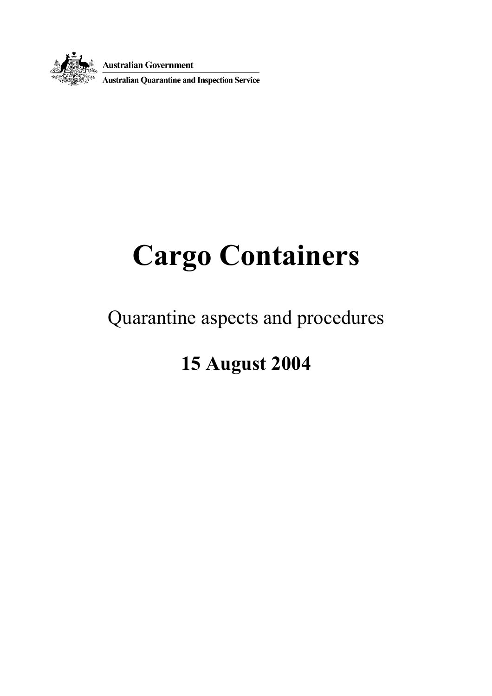

**Australian Government<br>
Australian Quarantine and Inspection Service** 

# **Cargo Containers**

### Quarantine aspects and procedures

### **15 August 2004**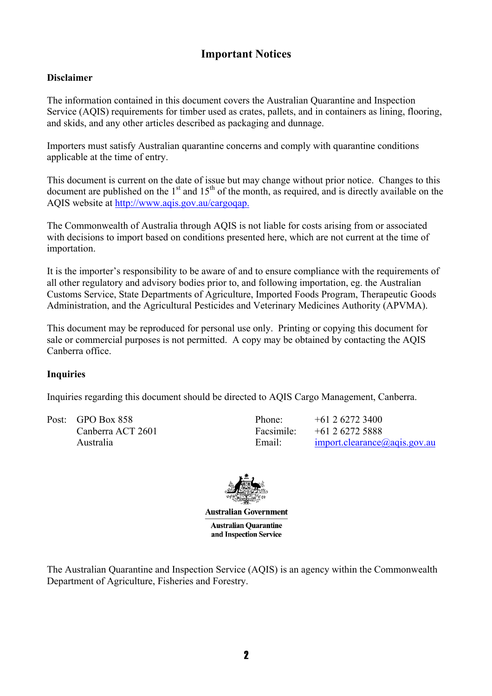#### **Important Notices**

#### **Disclaimer**

The information contained in this document covers the Australian Quarantine and Inspection Service (AQIS) requirements for timber used as crates, pallets, and in containers as lining, flooring, and skids, and any other articles described as packaging and dunnage.

Importers must satisfy Australian quarantine concerns and comply with quarantine conditions applicable at the time of entry.

This document is current on the date of issue but may change without prior notice. Changes to this  $\alpha$  document are published on the 1<sup>st</sup> and 15<sup>th</sup> of the month, as required, and is directly available on the AQIS website at<http://www.aqis.gov.au/cargoqap.>

The Commonwealth of Australia through AQIS is not liable for costs arising from or associated with decisions to import based on conditions presented here, which are not current at the time of importation.

It is the importer's responsibility to be aware of and to ensure compliance with the requirements of all other regulatory and advisory bodies prior to, and following importation, eg. the Australian Customs Service, State Departments of Agriculture, Imported Foods Program, Therapeutic Goods Administration, and the Agricultural Pesticides and Veterinary Medicines Authority (APVMA).

This document may be reproduced for personal use only. Printing or copying this document for sale or commercial purposes is not permitted. A copy may be obtained by contacting the AQIS Canberra office.

#### **Inquiries**

Inquiries regarding this document should be directed to AQIS Cargo Management, Canberra.

Post: GPO Box 858 Phone: +61 2 6272 3400 Canberra ACT 2601 Facsimile: +61 2 6272 5888

Australia Email: Email: [import.clearance@aqis.gov.au](mailto:import.clearance@aqis.gov.au)



**Australian Government Australian Ouarantine** and Inspection Service

The Australian Quarantine and Inspection Service (AQIS) is an agency within the Commonwealth Department of Agriculture, Fisheries and Forestry.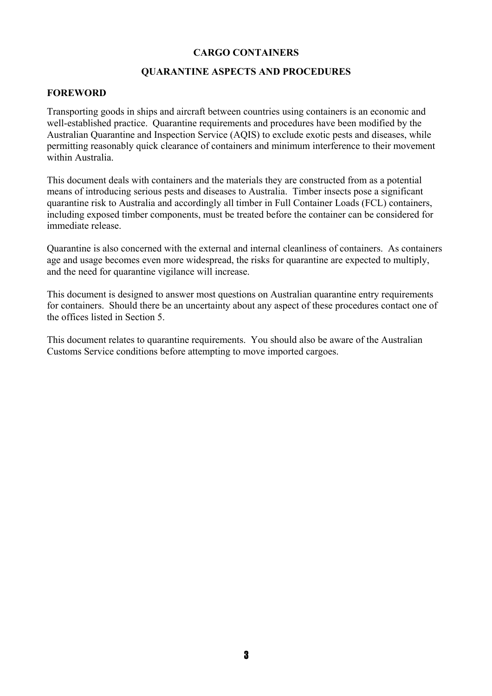#### **CARGO CONTAINERS**

#### **QUARANTINE ASPECTS AND PROCEDURES**

#### **FOREWORD**

Transporting goods in ships and aircraft between countries using containers is an economic and well-established practice. Quarantine requirements and procedures have been modified by the Australian Quarantine and Inspection Service (AQIS) to exclude exotic pests and diseases, while permitting reasonably quick clearance of containers and minimum interference to their movement within Australia.

This document deals with containers and the materials they are constructed from as a potential means of introducing serious pests and diseases to Australia. Timber insects pose a significant quarantine risk to Australia and accordingly all timber in Full Container Loads (FCL) containers, including exposed timber components, must be treated before the container can be considered for immediate release.

Quarantine is also concerned with the external and internal cleanliness of containers. As containers age and usage becomes even more widespread, the risks for quarantine are expected to multiply, and the need for quarantine vigilance will increase.

This document is designed to answer most questions on Australian quarantine entry requirements for containers. Should there be an uncertainty about any aspect of these procedures contact one of the offices listed in Section 5.

This document relates to quarantine requirements. You should also be aware of the Australian Customs Service conditions before attempting to move imported cargoes.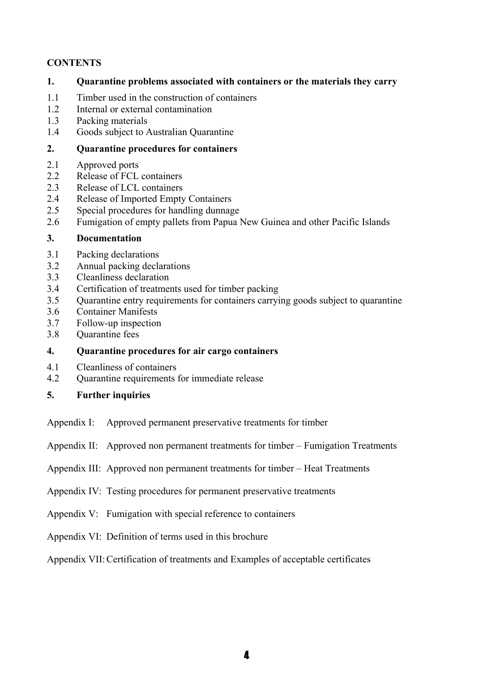#### **CONTENTS**

#### **1. Quarantine problems associated with containers or the materials they carry**

- 1.1 Timber used in the construction of containers
- 1.2 Internal or external contamination
- 1.3 Packing materials
- 1.4 Goods subject to Australian Quarantine

#### **2. Quarantine procedures for containers**

- 2.1 Approved ports
- 2.2 Release of FCL containers
- 2.3 Release of LCL containers
- 2.4 Release of Imported Empty Containers
- 2.5 Special procedures for handling dunnage
- 2.6 Fumigation of empty pallets from Papua New Guinea and other Pacific Islands

#### **3. Documentation**

- 3.1 Packing declarations
- 3.2 Annual packing declarations
- 3.3 Cleanliness declaration
- 3.4 Certification of treatments used for timber packing
- 3.5 Quarantine entry requirements for containers carrying goods subject to quarantine
- 3.6 Container Manifests
- 3.7 Follow-up inspection
- 3.8 Quarantine fees

#### **4. Quarantine procedures for air cargo containers**

- 4.1 Cleanliness of containers
- 4.2 Quarantine requirements for immediate release

#### **5. Further inquiries**

- Appendix I: Approved permanent preservative treatments for timber
- Appendix II: Approved non permanent treatments for timber Fumigation Treatments
- Appendix III: Approved non permanent treatments for timber Heat Treatments
- Appendix IV: Testing procedures for permanent preservative treatments
- Appendix V: Fumigation with special reference to containers
- Appendix VI: Definition of terms used in this brochure
- Appendix VII: Certification of treatments and Examples of acceptable certificates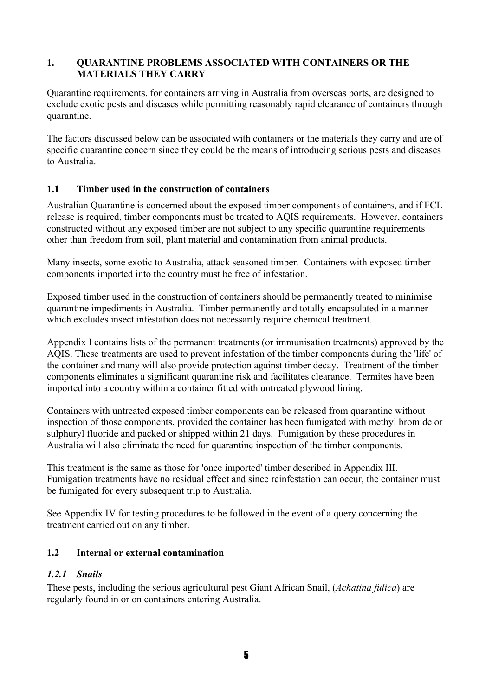#### **1. QUARANTINE PROBLEMS ASSOCIATED WITH CONTAINERS OR THE MATERIALS THEY CARRY**

Quarantine requirements, for containers arriving in Australia from overseas ports, are designed to exclude exotic pests and diseases while permitting reasonably rapid clearance of containers through quarantine.

The factors discussed below can be associated with containers or the materials they carry and are of specific quarantine concern since they could be the means of introducing serious pests and diseases to Australia.

#### **1.1 Timber used in the construction of containers**

Australian Quarantine is concerned about the exposed timber components of containers, and if FCL release is required, timber components must be treated to AQIS requirements. However, containers constructed without any exposed timber are not subject to any specific quarantine requirements other than freedom from soil, plant material and contamination from animal products.

Many insects, some exotic to Australia, attack seasoned timber. Containers with exposed timber components imported into the country must be free of infestation.

Exposed timber used in the construction of containers should be permanently treated to minimise quarantine impediments in Australia. Timber permanently and totally encapsulated in a manner which excludes insect infestation does not necessarily require chemical treatment.

Appendix I contains lists of the permanent treatments (or immunisation treatments) approved by the AQIS. These treatments are used to prevent infestation of the timber components during the 'life' of the container and many will also provide protection against timber decay. Treatment of the timber components eliminates a significant quarantine risk and facilitates clearance. Termites have been imported into a country within a container fitted with untreated plywood lining.

Containers with untreated exposed timber components can be released from quarantine without inspection of those components, provided the container has been fumigated with methyl bromide or sulphuryl fluoride and packed or shipped within 21 days. Fumigation by these procedures in Australia will also eliminate the need for quarantine inspection of the timber components.

This treatment is the same as those for 'once imported' timber described in Appendix III. Fumigation treatments have no residual effect and since reinfestation can occur, the container must be fumigated for every subsequent trip to Australia.

See Appendix IV for testing procedures to be followed in the event of a query concerning the treatment carried out on any timber.

#### **1.2 Internal or external contamination**

#### *1.2.1 Snails*

These pests, including the serious agricultural pest Giant African Snail, (*Achatina fulica*) are regularly found in or on containers entering Australia.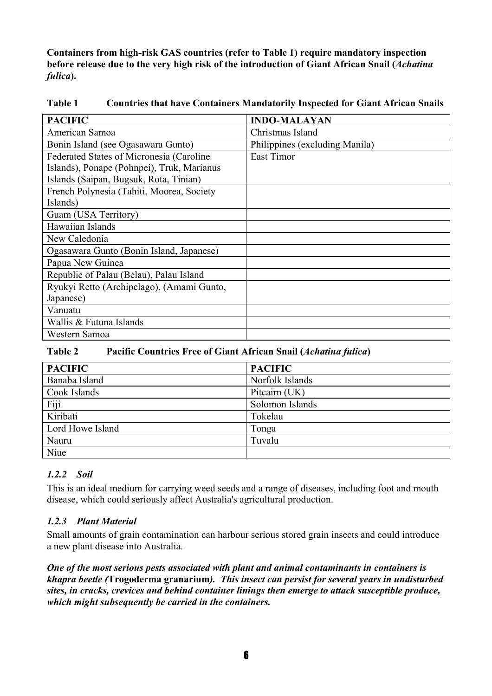**Containers from high-risk GAS countries (refer to Table 1) require mandatory inspection before release due to the very high risk of the introduction of Giant African Snail (***Achatina fulica***).** 

| <b>PACIFIC</b>                             | <b>INDO-MALAYAN</b>            |
|--------------------------------------------|--------------------------------|
| American Samoa                             | Christmas Island               |
| Bonin Island (see Ogasawara Gunto)         | Philippines (excluding Manila) |
| Federated States of Micronesia (Caroline   | East Timor                     |
| Islands), Ponape (Pohnpei), Truk, Marianus |                                |
| Islands (Saipan, Bugsuk, Rota, Tinian)     |                                |
| French Polynesia (Tahiti, Moorea, Society  |                                |
| Islands)                                   |                                |
| Guam (USA Territory)                       |                                |
| Hawaiian Islands                           |                                |
| New Caledonia                              |                                |
| Ogasawara Gunto (Bonin Island, Japanese)   |                                |
| Papua New Guinea                           |                                |
| Republic of Palau (Belau), Palau Island    |                                |
| Ryukyi Retto (Archipelago), (Amami Gunto,  |                                |
| Japanese)                                  |                                |
| Vanuatu                                    |                                |
| Wallis & Futuna Islands                    |                                |
| Western Samoa                              |                                |

**Table 1 Countries that have Containers Mandatorily Inspected for Giant African Snails**

#### **Table 2 Pacific Countries Free of Giant African Snail (***Achatina fulica***)**

| <b>PACIFIC</b>   | <b>PACIFIC</b>  |
|------------------|-----------------|
| Banaba Island    | Norfolk Islands |
| Cook Islands     | Pitcairn (UK)   |
| Fiji             | Solomon Islands |
| Kiribati         | Tokelau         |
| Lord Howe Island | Tonga           |
| Nauru            | Tuvalu          |
| Niue             |                 |

#### *1.2.2 Soil*

This is an ideal medium for carrying weed seeds and a range of diseases, including foot and mouth disease, which could seriously affect Australia's agricultural production.

#### *1.2.3 Plant Material*

Small amounts of grain contamination can harbour serious stored grain insects and could introduce a new plant disease into Australia.

*One of the most serious pests associated with plant and animal contaminants in containers is khapra beetle (***Trogoderma granarium***). This insect can persist for several years in undisturbed sites, in cracks, crevices and behind container linings then emerge to attack susceptible produce, which might subsequently be carried in the containers.*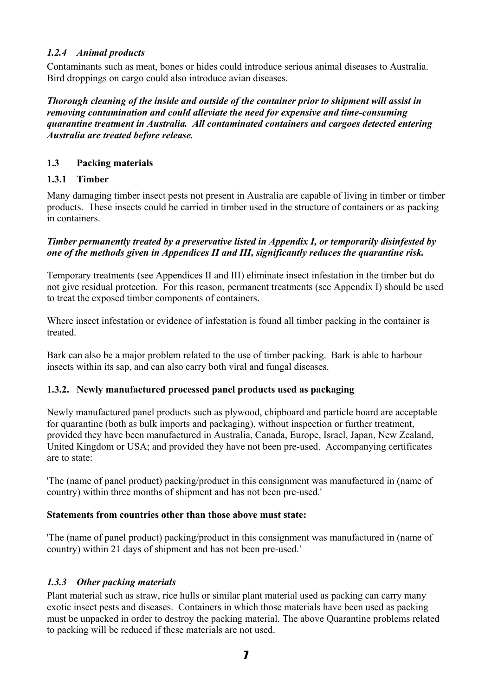#### *1.2.4 Animal products*

Contaminants such as meat, bones or hides could introduce serious animal diseases to Australia. Bird droppings on cargo could also introduce avian diseases.

*Thorough cleaning of the inside and outside of the container prior to shipment will assist in removing contamination and could alleviate the need for expensive and time-consuming quarantine treatment in Australia. All contaminated containers and cargoes detected entering Australia are treated before release.*

#### **1.3 Packing materials**

#### **1.3.1 Timber**

Many damaging timber insect pests not present in Australia are capable of living in timber or timber products. These insects could be carried in timber used in the structure of containers or as packing in containers.

#### *Timber permanently treated by a preservative listed in Appendix I, or temporarily disinfested by one of the methods given in Appendices II and III, significantly reduces the quarantine risk.*

Temporary treatments (see Appendices II and III) eliminate insect infestation in the timber but do not give residual protection. For this reason, permanent treatments (see Appendix I) should be used to treat the exposed timber components of containers.

Where insect infestation or evidence of infestation is found all timber packing in the container is treated.

Bark can also be a major problem related to the use of timber packing. Bark is able to harbour insects within its sap, and can also carry both viral and fungal diseases.

#### **1.3.2. Newly manufactured processed panel products used as packaging**

Newly manufactured panel products such as plywood, chipboard and particle board are acceptable for quarantine (both as bulk imports and packaging), without inspection or further treatment, provided they have been manufactured in Australia, Canada, Europe, Israel, Japan, New Zealand, United Kingdom or USA; and provided they have not been pre-used. Accompanying certificates are to state:

'The (name of panel product) packing/product in this consignment was manufactured in (name of country) within three months of shipment and has not been pre-used.'

#### **Statements from countries other than those above must state:**

'The (name of panel product) packing/product in this consignment was manufactured in (name of country) within 21 days of shipment and has not been pre-used.'

#### *1.3.3 Other packing materials*

Plant material such as straw, rice hulls or similar plant material used as packing can carry many exotic insect pests and diseases. Containers in which those materials have been used as packing must be unpacked in order to destroy the packing material. The above Quarantine problems related to packing will be reduced if these materials are not used.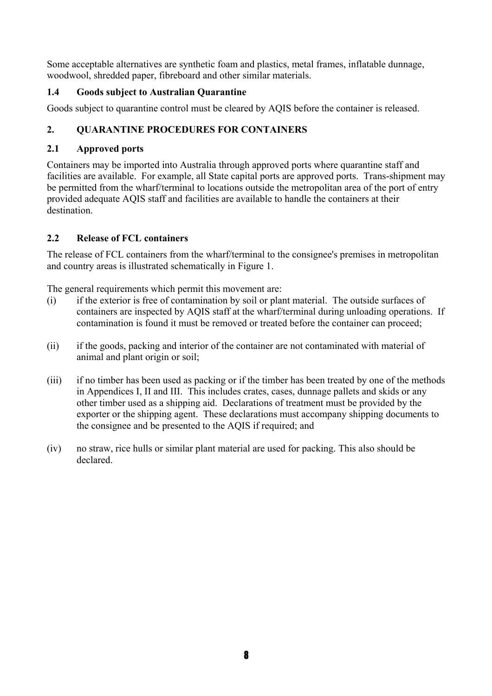Some acceptable alternatives are synthetic foam and plastics, metal frames, inflatable dunnage, woodwool, shredded paper, fibreboard and other similar materials.

#### **1.4 Goods subject to Australian Quarantine**

Goods subject to quarantine control must be cleared by AQIS before the container is released.

#### **2. QUARANTINE PROCEDURES FOR CONTAINERS**

#### **2.1 Approved ports**

Containers may be imported into Australia through approved ports where quarantine staff and facilities are available. For example, all State capital ports are approved ports. Trans-shipment may be permitted from the wharf/terminal to locations outside the metropolitan area of the port of entry provided adequate AQIS staff and facilities are available to handle the containers at their destination.

#### **2.2 Release of FCL containers**

The release of FCL containers from the wharf/terminal to the consignee's premises in metropolitan and country areas is illustrated schematically in Figure 1.

The general requirements which permit this movement are:

- (i) if the exterior is free of contamination by soil or plant material. The outside surfaces of containers are inspected by AQIS staff at the wharf/terminal during unloading operations. If contamination is found it must be removed or treated before the container can proceed;
- (ii) if the goods, packing and interior of the container are not contaminated with material of animal and plant origin or soil;
- (iii) if no timber has been used as packing or if the timber has been treated by one of the methods in Appendices I, II and III. This includes crates, cases, dunnage pallets and skids or any other timber used as a shipping aid. Declarations of treatment must be provided by the exporter or the shipping agent. These declarations must accompany shipping documents to the consignee and be presented to the AQIS if required; and
- (iv) no straw, rice hulls or similar plant material are used for packing. This also should be declared.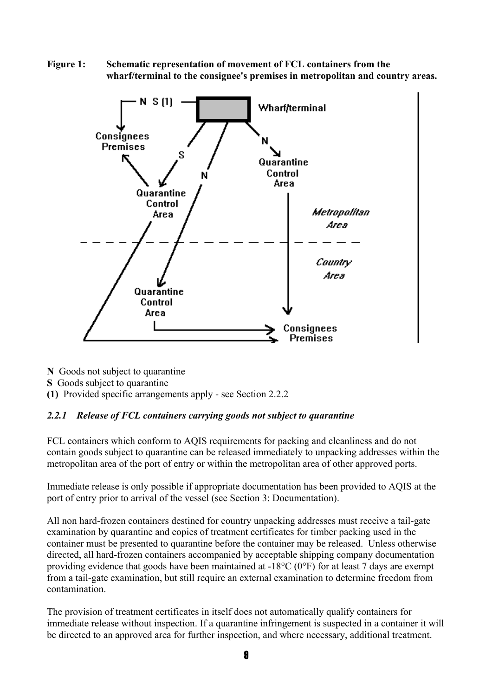**Figure 1: Schematic representation of movement of FCL containers from the wharf/terminal to the consignee's premises in metropolitan and country areas.** 



**N** Goods not subject to quarantine

**S** Goods subject to quarantine

**(1)** Provided specific arrangements apply - see Section 2.2.2

#### *2.2.1 Release of FCL containers carrying goods not subject to quarantine*

FCL containers which conform to AQIS requirements for packing and cleanliness and do not contain goods subject to quarantine can be released immediately to unpacking addresses within the metropolitan area of the port of entry or within the metropolitan area of other approved ports.

Immediate release is only possible if appropriate documentation has been provided to AQIS at the port of entry prior to arrival of the vessel (see Section 3: Documentation).

All non hard-frozen containers destined for country unpacking addresses must receive a tail-gate examination by quarantine and copies of treatment certificates for timber packing used in the container must be presented to quarantine before the container may be released. Unless otherwise directed, all hard-frozen containers accompanied by acceptable shipping company documentation providing evidence that goods have been maintained at -18°C (0°F) for at least 7 days are exempt from a tail-gate examination, but still require an external examination to determine freedom from contamination.

The provision of treatment certificates in itself does not automatically qualify containers for immediate release without inspection. If a quarantine infringement is suspected in a container it will be directed to an approved area for further inspection, and where necessary, additional treatment.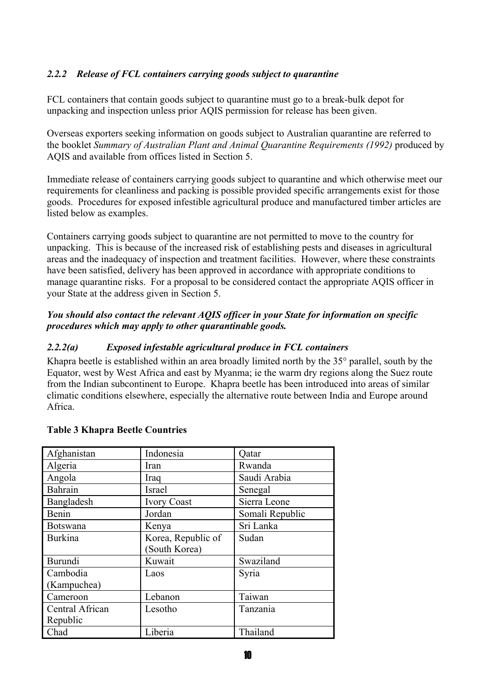#### *2.2.2 Release of FCL containers carrying goods subject to quarantine*

FCL containers that contain goods subject to quarantine must go to a break-bulk depot for unpacking and inspection unless prior AQIS permission for release has been given.

Overseas exporters seeking information on goods subject to Australian quarantine are referred to the booklet *Summary of Australian Plant and Animal Quarantine Requirements (1992)* produced by AQIS and available from offices listed in Section 5.

Immediate release of containers carrying goods subject to quarantine and which otherwise meet our requirements for cleanliness and packing is possible provided specific arrangements exist for those goods. Procedures for exposed infestible agricultural produce and manufactured timber articles are listed below as examples.

Containers carrying goods subject to quarantine are not permitted to move to the country for unpacking. This is because of the increased risk of establishing pests and diseases in agricultural areas and the inadequacy of inspection and treatment facilities. However, where these constraints have been satisfied, delivery has been approved in accordance with appropriate conditions to manage quarantine risks. For a proposal to be considered contact the appropriate AQIS officer in your State at the address given in Section 5.

#### *You should also contact the relevant AQIS officer in your State for information on specific procedures which may apply to other quarantinable goods.*

#### *2.2.2(a) Exposed infestable agricultural produce in FCL containers*

Khapra beetle is established within an area broadly limited north by the 35° parallel, south by the Equator, west by West Africa and east by Myanma; ie the warm dry regions along the Suez route from the Indian subcontinent to Europe. Khapra beetle has been introduced into areas of similar climatic conditions elsewhere, especially the alternative route between India and Europe around Africa.

| Afghanistan     | Indonesia          | Qatar           |
|-----------------|--------------------|-----------------|
| Algeria         | Iran               | Rwanda          |
| Angola          | Iraq               | Saudi Arabia    |
| Bahrain         | Israel             | Senegal         |
| Bangladesh      | <b>Ivory Coast</b> | Sierra Leone    |
| Benin           | Jordan             | Somali Republic |
| <b>Botswana</b> | Kenya              | Sri Lanka       |
| <b>Burkina</b>  | Korea, Republic of | Sudan           |
|                 | (South Korea)      |                 |
| <b>Burundi</b>  | Kuwait             | Swaziland       |
| Cambodia        | Laos               | Syria           |
| (Kampuchea)     |                    |                 |
| Cameroon        | Lebanon            | Taiwan          |
| Central African | Lesotho            | Tanzania        |
| Republic        |                    |                 |
| Chad            | Liberia            | Thailand        |

#### **Table 3 Khapra Beetle Countries**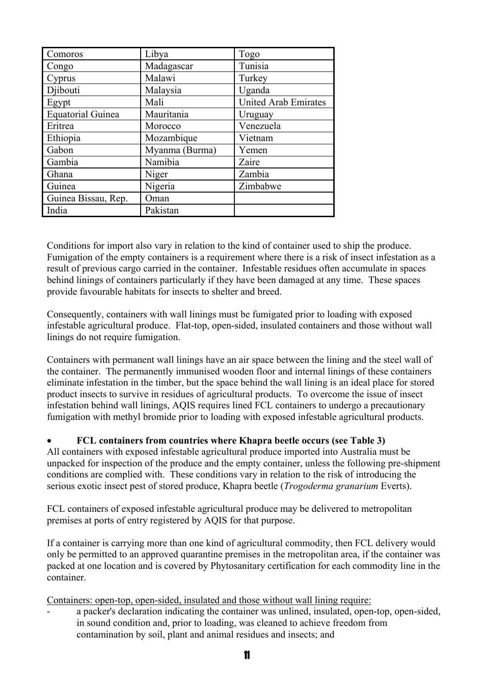| Comoros                  | Libya          | Togo                        |
|--------------------------|----------------|-----------------------------|
| Congo                    | Madagascar     | Tunisia                     |
| Cyprus                   | Malawi         | Turkey                      |
| Djibouti                 | Malaysia       | Uganda                      |
| Egypt                    | Mali           | <b>United Arab Emirates</b> |
| <b>Equatorial Guinea</b> | Mauritania     | Uruguay                     |
| Eritrea                  | Morocco        | Venezuela                   |
| Ethiopia                 | Mozambique     | Vietnam                     |
| Gabon                    | Myanma (Burma) | Yemen                       |
| Gambia                   | Namibia        | Zaire                       |
| Ghana                    | Niger          | Zambia                      |
| Guinea                   | Nigeria        | Zimbabwe                    |
| Guinea Bissau, Rep.      | Oman           |                             |
| India                    | Pakistan       |                             |

Conditions for import also vary in relation to the kind of container used to ship the produce. Fumigation of the empty containers is a requirement where there is a risk of insect infestation as a result of previous cargo carried in the container. Infestable residues often accumulate in spaces behind linings of containers particularly if they have been damaged at any time. These spaces provide favourable habitats for insects to shelter and breed.

Consequently, containers with wall linings must be fumigated prior to loading with exposed infestable agricultural produce. Flat-top, open-sided, insulated containers and those without wall linings do not require fumigation.

Containers with permanent wall linings have an air space between the lining and the steel wall of the container. The permanently immunised wooden floor and internal linings of these containers eliminate infestation in the timber, but the space behind the wall lining is an ideal place for stored product insects to survive in residues of agricultural products. To overcome the issue of insect infestation behind wall linings, AQIS requires lined FCL containers to undergo a precautionary fumigation with methyl bromide prior to loading with exposed infestable agricultural products.

#### • **FCL containers from countries where Khapra beetle occurs (see Table 3)**

All containers with exposed infestable agricultural produce imported into Australia must be unpacked for inspection of the produce and the empty container, unless the following pre-shipment conditions are complied with. These conditions vary in relation to the risk of introducing the serious exotic insect pest of stored produce, Khapra beetle (*Trogoderma granarium* Everts).

FCL containers of exposed infestable agricultural produce may be delivered to metropolitan premises at ports of entry registered by AQIS for that purpose.

If a container is carrying more than one kind of agricultural commodity, then FCL delivery would only be permitted to an approved quarantine premises in the metropolitan area, if the container was packed at one location and is covered by Phytosanitary certification for each commodity line in the container.

Containers: open-top, open-sided, insulated and those without wall lining require:

a packer's declaration indicating the container was unlined, insulated, open-top, open-sided, in sound condition and, prior to loading, was cleaned to achieve freedom from contamination by soil, plant and animal residues and insects; and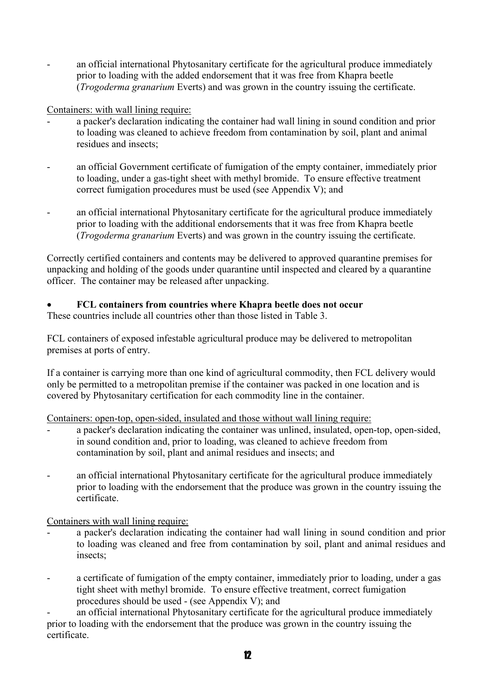an official international Phytosanitary certificate for the agricultural produce immediately prior to loading with the added endorsement that it was free from Khapra beetle (*Trogoderma granarium* Everts) and was grown in the country issuing the certificate.

#### Containers: with wall lining require:

- a packer's declaration indicating the container had wall lining in sound condition and prior to loading was cleaned to achieve freedom from contamination by soil, plant and animal residues and insects;
- an official Government certificate of fumigation of the empty container, immediately prior to loading, under a gas-tight sheet with methyl bromide. To ensure effective treatment correct fumigation procedures must be used (see Appendix V); and
- an official international Phytosanitary certificate for the agricultural produce immediately prior to loading with the additional endorsements that it was free from Khapra beetle (*Trogoderma granarium* Everts) and was grown in the country issuing the certificate.

Correctly certified containers and contents may be delivered to approved quarantine premises for unpacking and holding of the goods under quarantine until inspected and cleared by a quarantine officer. The container may be released after unpacking.

#### • **FCL containers from countries where Khapra beetle does not occur**

These countries include all countries other than those listed in Table 3.

FCL containers of exposed infestable agricultural produce may be delivered to metropolitan premises at ports of entry.

If a container is carrying more than one kind of agricultural commodity, then FCL delivery would only be permitted to a metropolitan premise if the container was packed in one location and is covered by Phytosanitary certification for each commodity line in the container.

Containers: open-top, open-sided, insulated and those without wall lining require:

- a packer's declaration indicating the container was unlined, insulated, open-top, open-sided, in sound condition and, prior to loading, was cleaned to achieve freedom from contamination by soil, plant and animal residues and insects; and
- an official international Phytosanitary certificate for the agricultural produce immediately prior to loading with the endorsement that the produce was grown in the country issuing the certificate.

Containers with wall lining require:

- a packer's declaration indicating the container had wall lining in sound condition and prior to loading was cleaned and free from contamination by soil, plant and animal residues and insects;
- a certificate of fumigation of the empty container, immediately prior to loading, under a gas tight sheet with methyl bromide. To ensure effective treatment, correct fumigation procedures should be used - (see Appendix V); and

an official international Phytosanitary certificate for the agricultural produce immediately prior to loading with the endorsement that the produce was grown in the country issuing the certificate.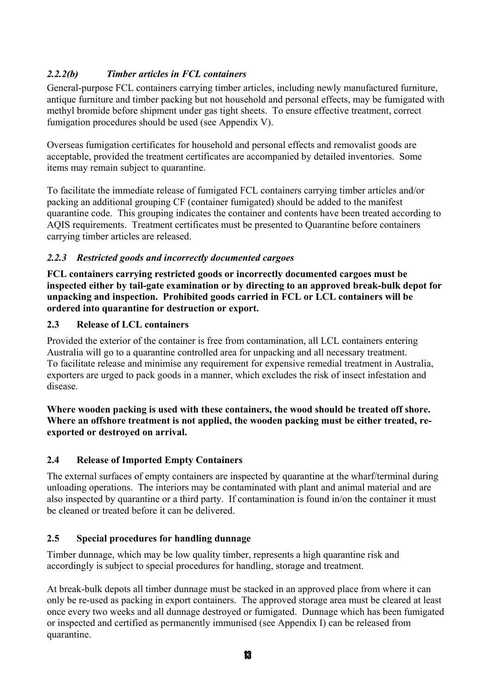#### *2.2.2(b) Timber articles in FCL containers*

General-purpose FCL containers carrying timber articles, including newly manufactured furniture, antique furniture and timber packing but not household and personal effects, may be fumigated with methyl bromide before shipment under gas tight sheets. To ensure effective treatment, correct fumigation procedures should be used (see Appendix V).

Overseas fumigation certificates for household and personal effects and removalist goods are acceptable, provided the treatment certificates are accompanied by detailed inventories. Some items may remain subject to quarantine.

To facilitate the immediate release of fumigated FCL containers carrying timber articles and/or packing an additional grouping CF (container fumigated) should be added to the manifest quarantine code. This grouping indicates the container and contents have been treated according to AQIS requirements. Treatment certificates must be presented to Quarantine before containers carrying timber articles are released.

#### *2.2.3 Restricted goods and incorrectly documented cargoes*

**FCL containers carrying restricted goods or incorrectly documented cargoes must be inspected either by tail-gate examination or by directing to an approved break-bulk depot for unpacking and inspection. Prohibited goods carried in FCL or LCL containers will be ordered into quarantine for destruction or export.** 

#### **2.3 Release of LCL containers**

Provided the exterior of the container is free from contamination, all LCL containers entering Australia will go to a quarantine controlled area for unpacking and all necessary treatment. To facilitate release and minimise any requirement for expensive remedial treatment in Australia, exporters are urged to pack goods in a manner, which excludes the risk of insect infestation and disease.

#### **Where wooden packing is used with these containers, the wood should be treated off shore. Where an offshore treatment is not applied, the wooden packing must be either treated, reexported or destroyed on arrival.**

#### **2.4 Release of Imported Empty Containers**

The external surfaces of empty containers are inspected by quarantine at the wharf/terminal during unloading operations. The interiors may be contaminated with plant and animal material and are also inspected by quarantine or a third party. If contamination is found in/on the container it must be cleaned or treated before it can be delivered.

#### **2.5 Special procedures for handling dunnage**

Timber dunnage, which may be low quality timber, represents a high quarantine risk and accordingly is subject to special procedures for handling, storage and treatment.

At break-bulk depots all timber dunnage must be stacked in an approved place from where it can only be re-used as packing in export containers. The approved storage area must be cleared at least once every two weeks and all dunnage destroyed or fumigated. Dunnage which has been fumigated or inspected and certified as permanently immunised (see Appendix I) can be released from quarantine.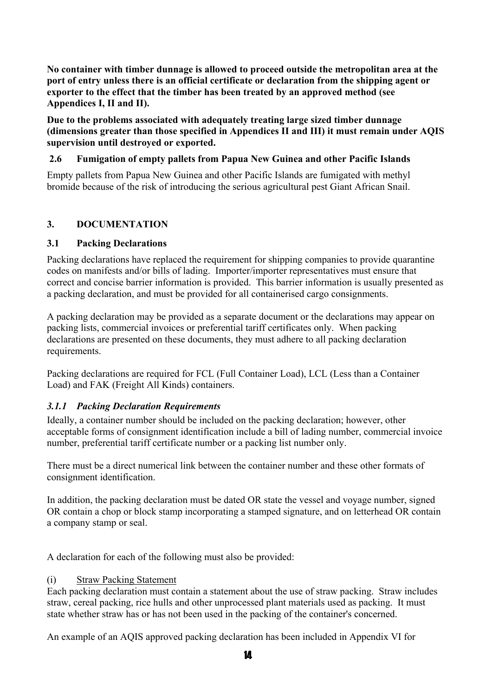**No container with timber dunnage is allowed to proceed outside the metropolitan area at the port of entry unless there is an official certificate or declaration from the shipping agent or exporter to the effect that the timber has been treated by an approved method (see Appendices I, II and II).** 

**Due to the problems associated with adequately treating large sized timber dunnage (dimensions greater than those specified in Appendices II and III) it must remain under AQIS supervision until destroyed or exported.** 

#### **2.6 Fumigation of empty pallets from Papua New Guinea and other Pacific Islands**

Empty pallets from Papua New Guinea and other Pacific Islands are fumigated with methyl bromide because of the risk of introducing the serious agricultural pest Giant African Snail.

#### **3. DOCUMENTATION**

#### **3.1 Packing Declarations**

Packing declarations have replaced the requirement for shipping companies to provide quarantine codes on manifests and/or bills of lading. Importer/importer representatives must ensure that correct and concise barrier information is provided. This barrier information is usually presented as a packing declaration, and must be provided for all containerised cargo consignments.

A packing declaration may be provided as a separate document or the declarations may appear on packing lists, commercial invoices or preferential tariff certificates only. When packing declarations are presented on these documents, they must adhere to all packing declaration requirements.

Packing declarations are required for FCL (Full Container Load), LCL (Less than a Container Load) and FAK (Freight All Kinds) containers.

#### *3.1.1 Packing Declaration Requirements*

Ideally, a container number should be included on the packing declaration; however, other acceptable forms of consignment identification include a bill of lading number, commercial invoice number, preferential tariff certificate number or a packing list number only.

There must be a direct numerical link between the container number and these other formats of consignment identification.

In addition, the packing declaration must be dated OR state the vessel and voyage number, signed OR contain a chop or block stamp incorporating a stamped signature, and on letterhead OR contain a company stamp or seal.

A declaration for each of the following must also be provided:

#### (i) Straw Packing Statement

Each packing declaration must contain a statement about the use of straw packing. Straw includes straw, cereal packing, rice hulls and other unprocessed plant materials used as packing. It must state whether straw has or has not been used in the packing of the container's concerned.

An example of an AQIS approved packing declaration has been included in Appendix VI for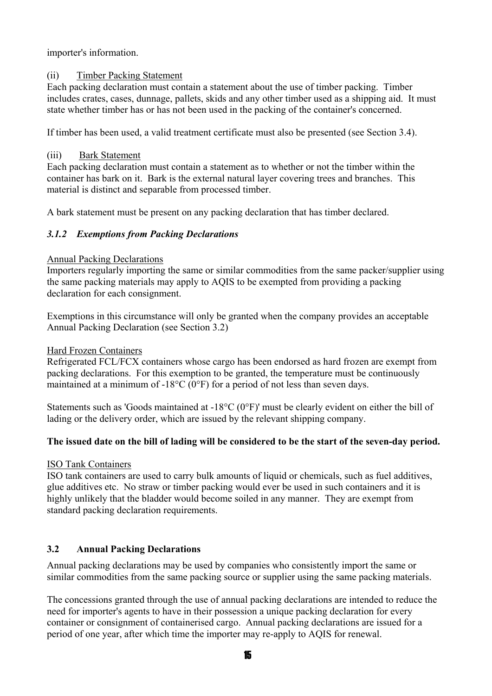importer's information.

#### (ii) Timber Packing Statement

Each packing declaration must contain a statement about the use of timber packing. Timber includes crates, cases, dunnage, pallets, skids and any other timber used as a shipping aid. It must state whether timber has or has not been used in the packing of the container's concerned.

If timber has been used, a valid treatment certificate must also be presented (see Section 3.4).

#### (iii) Bark Statement

Each packing declaration must contain a statement as to whether or not the timber within the container has bark on it. Bark is the external natural layer covering trees and branches. This material is distinct and separable from processed timber.

A bark statement must be present on any packing declaration that has timber declared.

#### *3.1.2 Exemptions from Packing Declarations*

#### Annual Packing Declarations

Importers regularly importing the same or similar commodities from the same packer/supplier using the same packing materials may apply to AQIS to be exempted from providing a packing declaration for each consignment.

Exemptions in this circumstance will only be granted when the company provides an acceptable Annual Packing Declaration (see Section 3.2)

#### Hard Frozen Containers

Refrigerated FCL/FCX containers whose cargo has been endorsed as hard frozen are exempt from packing declarations. For this exemption to be granted, the temperature must be continuously maintained at a minimum of -18°C (0°F) for a period of not less than seven days.

Statements such as 'Goods maintained at -18°C (0°F)' must be clearly evident on either the bill of lading or the delivery order, which are issued by the relevant shipping company.

#### **The issued date on the bill of lading will be considered to be the start of the seven-day period.**

#### ISO Tank Containers

ISO tank containers are used to carry bulk amounts of liquid or chemicals, such as fuel additives, glue additives etc. No straw or timber packing would ever be used in such containers and it is highly unlikely that the bladder would become soiled in any manner. They are exempt from standard packing declaration requirements.

#### **3.2 Annual Packing Declarations**

Annual packing declarations may be used by companies who consistently import the same or similar commodities from the same packing source or supplier using the same packing materials.

The concessions granted through the use of annual packing declarations are intended to reduce the need for importer's agents to have in their possession a unique packing declaration for every container or consignment of containerised cargo. Annual packing declarations are issued for a period of one year, after which time the importer may re-apply to AQIS for renewal.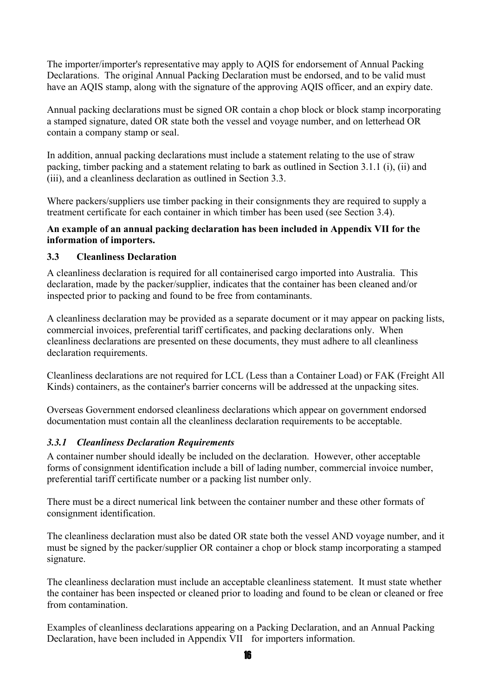The importer/importer's representative may apply to AQIS for endorsement of Annual Packing Declarations. The original Annual Packing Declaration must be endorsed, and to be valid must have an AQIS stamp, along with the signature of the approving AQIS officer, and an expiry date.

Annual packing declarations must be signed OR contain a chop block or block stamp incorporating a stamped signature, dated OR state both the vessel and voyage number, and on letterhead OR contain a company stamp or seal.

In addition, annual packing declarations must include a statement relating to the use of straw packing, timber packing and a statement relating to bark as outlined in Section 3.1.1 (i), (ii) and (iii), and a cleanliness declaration as outlined in Section 3.3.

Where packers/suppliers use timber packing in their consignments they are required to supply a treatment certificate for each container in which timber has been used (see Section 3.4).

#### **An example of an annual packing declaration has been included in Appendix VII for the information of importers.**

#### **3.3 Cleanliness Declaration**

A cleanliness declaration is required for all containerised cargo imported into Australia. This declaration, made by the packer/supplier, indicates that the container has been cleaned and/or inspected prior to packing and found to be free from contaminants.

A cleanliness declaration may be provided as a separate document or it may appear on packing lists, commercial invoices, preferential tariff certificates, and packing declarations only. When cleanliness declarations are presented on these documents, they must adhere to all cleanliness declaration requirements.

Cleanliness declarations are not required for LCL (Less than a Container Load) or FAK (Freight All Kinds) containers, as the container's barrier concerns will be addressed at the unpacking sites.

Overseas Government endorsed cleanliness declarations which appear on government endorsed documentation must contain all the cleanliness declaration requirements to be acceptable.

#### *3.3.1 Cleanliness Declaration Requirements*

A container number should ideally be included on the declaration. However, other acceptable forms of consignment identification include a bill of lading number, commercial invoice number, preferential tariff certificate number or a packing list number only.

There must be a direct numerical link between the container number and these other formats of consignment identification.

The cleanliness declaration must also be dated OR state both the vessel AND voyage number, and it must be signed by the packer/supplier OR container a chop or block stamp incorporating a stamped signature.

The cleanliness declaration must include an acceptable cleanliness statement. It must state whether the container has been inspected or cleaned prior to loading and found to be clean or cleaned or free from contamination.

Examples of cleanliness declarations appearing on a Packing Declaration, and an Annual Packing Declaration, have been included in Appendix VII for importers information.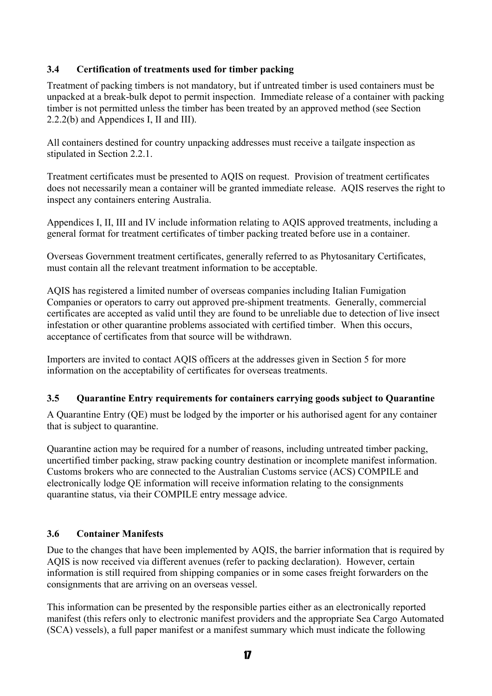#### **3.4 Certification of treatments used for timber packing**

Treatment of packing timbers is not mandatory, but if untreated timber is used containers must be unpacked at a break-bulk depot to permit inspection. Immediate release of a container with packing timber is not permitted unless the timber has been treated by an approved method (see Section 2.2.2(b) and Appendices I, II and III).

All containers destined for country unpacking addresses must receive a tailgate inspection as stipulated in Section 2.2.1.

Treatment certificates must be presented to AQIS on request. Provision of treatment certificates does not necessarily mean a container will be granted immediate release. AQIS reserves the right to inspect any containers entering Australia.

Appendices I, II, III and IV include information relating to AQIS approved treatments, including a general format for treatment certificates of timber packing treated before use in a container.

Overseas Government treatment certificates, generally referred to as Phytosanitary Certificates, must contain all the relevant treatment information to be acceptable.

AQIS has registered a limited number of overseas companies including Italian Fumigation Companies or operators to carry out approved pre-shipment treatments. Generally, commercial certificates are accepted as valid until they are found to be unreliable due to detection of live insect infestation or other quarantine problems associated with certified timber. When this occurs, acceptance of certificates from that source will be withdrawn.

Importers are invited to contact AQIS officers at the addresses given in Section 5 for more information on the acceptability of certificates for overseas treatments.

#### **3.5 Quarantine Entry requirements for containers carrying goods subject to Quarantine**

A Quarantine Entry (QE) must be lodged by the importer or his authorised agent for any container that is subject to quarantine.

Quarantine action may be required for a number of reasons, including untreated timber packing, uncertified timber packing, straw packing country destination or incomplete manifest information. Customs brokers who are connected to the Australian Customs service (ACS) COMPILE and electronically lodge QE information will receive information relating to the consignments quarantine status, via their COMPILE entry message advice.

#### **3.6 Container Manifests**

Due to the changes that have been implemented by AQIS, the barrier information that is required by AQIS is now received via different avenues (refer to packing declaration). However, certain information is still required from shipping companies or in some cases freight forwarders on the consignments that are arriving on an overseas vessel.

This information can be presented by the responsible parties either as an electronically reported manifest (this refers only to electronic manifest providers and the appropriate Sea Cargo Automated (SCA) vessels), a full paper manifest or a manifest summary which must indicate the following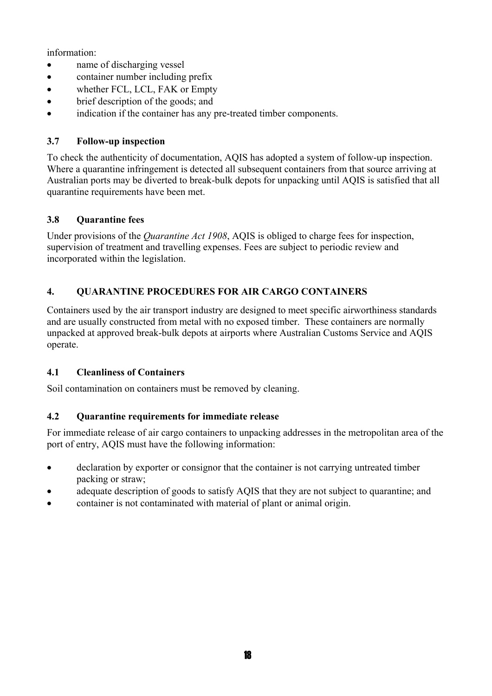information:

- name of discharging vessel
- container number including prefix
- whether FCL, LCL, FAK or Empty
- brief description of the goods; and
- indication if the container has any pre-treated timber components.

#### **3.7 Follow-up inspection**

To check the authenticity of documentation, AQIS has adopted a system of follow-up inspection. Where a quarantine infringement is detected all subsequent containers from that source arriving at Australian ports may be diverted to break-bulk depots for unpacking until AQIS is satisfied that all quarantine requirements have been met.

#### **3.8 Quarantine fees**

Under provisions of the *Quarantine Act 1908*, AQIS is obliged to charge fees for inspection, supervision of treatment and travelling expenses. Fees are subject to periodic review and incorporated within the legislation.

#### **4. QUARANTINE PROCEDURES FOR AIR CARGO CONTAINERS**

Containers used by the air transport industry are designed to meet specific airworthiness standards and are usually constructed from metal with no exposed timber. These containers are normally unpacked at approved break-bulk depots at airports where Australian Customs Service and AQIS operate.

#### **4.1 Cleanliness of Containers**

Soil contamination on containers must be removed by cleaning.

#### **4.2 Quarantine requirements for immediate release**

For immediate release of air cargo containers to unpacking addresses in the metropolitan area of the port of entry, AQIS must have the following information:

- declaration by exporter or consignor that the container is not carrying untreated timber packing or straw;
- adequate description of goods to satisfy AQIS that they are not subject to quarantine; and
- container is not contaminated with material of plant or animal origin.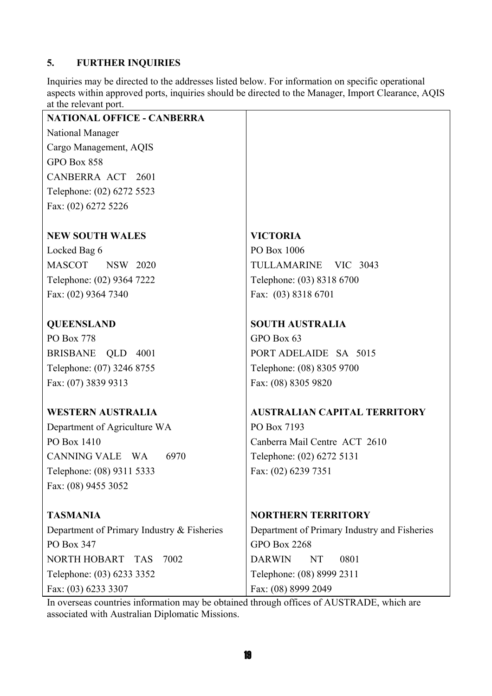#### **5. FURTHER INQUIRIES**

Inquiries may be directed to the addresses listed below. For information on specific operational aspects within approved ports, inquiries should be directed to the Manager, Import Clearance, AQIS at the relevant port.

| <b>NATIONAL OFFICE - CANBERRA</b>          |                                              |
|--------------------------------------------|----------------------------------------------|
| National Manager                           |                                              |
| Cargo Management, AQIS                     |                                              |
| GPO Box 858                                |                                              |
| CANBERRA ACT 2601                          |                                              |
| Telephone: (02) 6272 5523                  |                                              |
| Fax: (02) 6272 5226                        |                                              |
| <b>NEW SOUTH WALES</b>                     | <b>VICTORIA</b>                              |
| Locked Bag 6                               | PO Box 1006                                  |
| MASCOT NSW 2020                            | TULLAMARINE VIC 3043                         |
| Telephone: (02) 9364 7222                  | Telephone: (03) 8318 6700                    |
| Fax: (02) 9364 7340                        | Fax: (03) 8318 6701                          |
| <b>QUEENSLAND</b>                          | <b>SOUTH AUSTRALIA</b>                       |
| PO Box 778                                 | GPO Box 63                                   |
| BRISBANE QLD 4001                          | PORT ADELAIDE SA 5015                        |
| Telephone: (07) 3246 8755                  | Telephone: (08) 8305 9700                    |
| Fax: (07) 3839 9313                        | Fax: (08) 8305 9820                          |
| <b>WESTERN AUSTRALIA</b>                   | <b>AUSTRALIAN CAPITAL TERRITORY</b>          |
| Department of Agriculture WA               | PO Box 7193                                  |
| PO Box 1410                                | Canberra Mail Centre ACT 2610                |
| CANNING VALE WA<br>6970                    | Telephone: (02) 6272 5131                    |
| Telephone: (08) 9311 5333                  | Fax: (02) 6239 7351                          |
| Fax: (08) 9455 3052                        |                                              |
| <b>TASMANIA</b>                            | <b>NORTHERN TERRITORY</b>                    |
| Department of Primary Industry & Fisheries | Department of Primary Industry and Fisheries |
| PO Box 347                                 | <b>GPO Box 2268</b>                          |
| <b>NORTH HOBART</b><br>7002<br><b>TAS</b>  | <b>DARWIN</b><br>0801<br>NT                  |
| Telephone: (03) 6233 3352                  | Telephone: (08) 8999 2311                    |
| Fax: (03) 6233 3307                        | Fax: (08) 8999 2049                          |

In overseas countries information may be obtained through offices of AUSTRADE, which are associated with Australian Diplomatic Missions.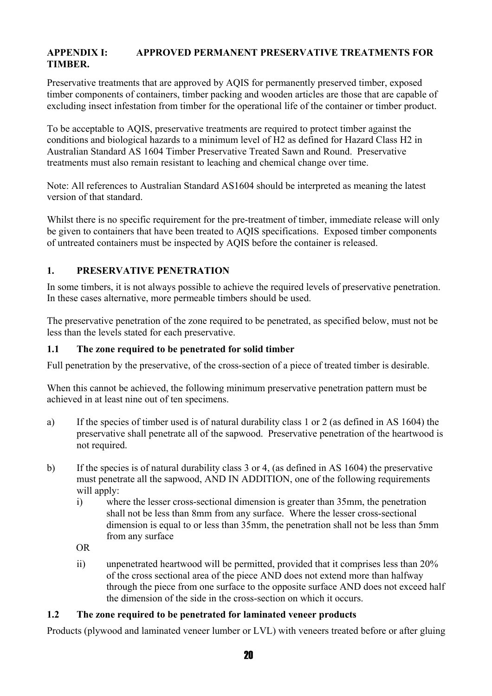#### **APPENDIX I: APPROVED PERMANENT PRESERVATIVE TREATMENTS FOR TIMBER.**

Preservative treatments that are approved by AQIS for permanently preserved timber, exposed timber components of containers, timber packing and wooden articles are those that are capable of excluding insect infestation from timber for the operational life of the container or timber product.

To be acceptable to AQIS, preservative treatments are required to protect timber against the conditions and biological hazards to a minimum level of H2 as defined for Hazard Class H2 in Australian Standard AS 1604 Timber Preservative Treated Sawn and Round. Preservative treatments must also remain resistant to leaching and chemical change over time.

Note: All references to Australian Standard AS1604 should be interpreted as meaning the latest version of that standard.

Whilst there is no specific requirement for the pre-treatment of timber, immediate release will only be given to containers that have been treated to AQIS specifications. Exposed timber components of untreated containers must be inspected by AQIS before the container is released.

#### **1. PRESERVATIVE PENETRATION**

In some timbers, it is not always possible to achieve the required levels of preservative penetration. In these cases alternative, more permeable timbers should be used.

The preservative penetration of the zone required to be penetrated, as specified below, must not be less than the levels stated for each preservative.

#### **1.1 The zone required to be penetrated for solid timber**

Full penetration by the preservative, of the cross-section of a piece of treated timber is desirable.

When this cannot be achieved, the following minimum preservative penetration pattern must be achieved in at least nine out of ten specimens.

- a) If the species of timber used is of natural durability class 1 or 2 (as defined in AS 1604) the preservative shall penetrate all of the sapwood. Preservative penetration of the heartwood is not required.
- b) If the species is of natural durability class 3 or 4, (as defined in AS 1604) the preservative must penetrate all the sapwood, AND IN ADDITION, one of the following requirements will apply:
	- i) where the lesser cross-sectional dimension is greater than 35mm, the penetration shall not be less than 8mm from any surface. Where the lesser cross-sectional dimension is equal to or less than 35mm, the penetration shall not be less than 5mm from any surface

OR

ii) unpenetrated heartwood will be permitted, provided that it comprises less than 20% of the cross sectional area of the piece AND does not extend more than halfway through the piece from one surface to the opposite surface AND does not exceed half the dimension of the side in the cross-section on which it occurs.

#### **1.2 The zone required to be penetrated for laminated veneer products**

Products (plywood and laminated veneer lumber or LVL) with veneers treated before or after gluing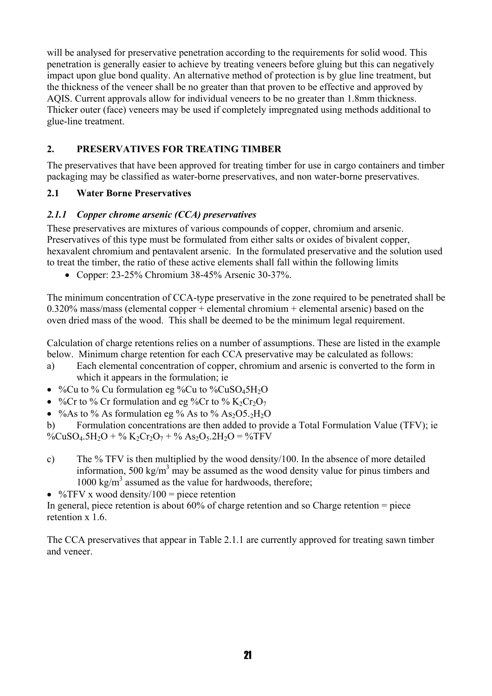will be analysed for preservative penetration according to the requirements for solid wood. This penetration is generally easier to achieve by treating veneers before gluing but this can negatively impact upon glue bond quality. An alternative method of protection is by glue line treatment, but the thickness of the veneer shall be no greater than that proven to be effective and approved by AQIS. Current approvals allow for individual veneers to be no greater than 1.8mm thickness. Thicker outer (face) veneers may be used if completely impregnated using methods additional to glue-line treatment.

#### **2. PRESERVATIVES FOR TREATING TIMBER**

The preservatives that have been approved for treating timber for use in cargo containers and timber packaging may be classified as water-borne preservatives, and non water-borne preservatives.

#### **2.1 Water Borne Preservatives**

#### *2.1.1 Copper chrome arsenic (CCA) preservatives*

These preservatives are mixtures of various compounds of copper, chromium and arsenic. Preservatives of this type must be formulated from either salts or oxides of bivalent copper, hexavalent chromium and pentavalent arsenic. In the formulated preservative and the solution used to treat the timber, the ratio of these active elements shall fall within the following limits

• Copper: 23-25% Chromium 38-45% Arsenic 30-37%.

The minimum concentration of CCA-type preservative in the zone required to be penetrated shall be 0.320% mass/mass (elemental copper + elemental chromium + elemental arsenic) based on the oven dried mass of the wood. This shall be deemed to be the minimum legal requirement.

Calculation of charge retentions relies on a number of assumptions. These are listed in the example below. Minimum charge retention for each CCA preservative may be calculated as follows:

- a) Each elemental concentration of copper, chromium and arsenic is converted to the form in which it appears in the formulation; ie
- %Cu to % Cu formulation eg %Cu to %CuSO45H<sub>2</sub>O
- %Cr to % Cr formulation and eg %Cr to %  $K_2Cr_2O_7$
- % As to % As formulation eg % As to %  $As<sub>2</sub>OS<sub>.2</sub>H<sub>2</sub>O$

b) Formulation concentrations are then added to provide a Total Formulation Value (TFV); ie %CuSO<sub>4</sub>.5H<sub>2</sub>O + % K<sub>2</sub>Cr<sub>2</sub>O<sub>7</sub> + % As<sub>2</sub>O<sub>5</sub>.2H<sub>2</sub>O = %TFV

- c) The % TFV is then multiplied by the wood density/100. In the absence of more detailed information, 500 kg/m<sup>3</sup> may be assumed as the wood density value for pinus timbers and 1000 kg/m<sup>3</sup> assumed as the value for hardwoods, therefore;
- % $TFV x wood density/100 = piece retention$

In general, piece retention is about 60% of charge retention and so Charge retention = piece retention x 1.6

The CCA preservatives that appear in Table 2.1.1 are currently approved for treating sawn timber and veneer.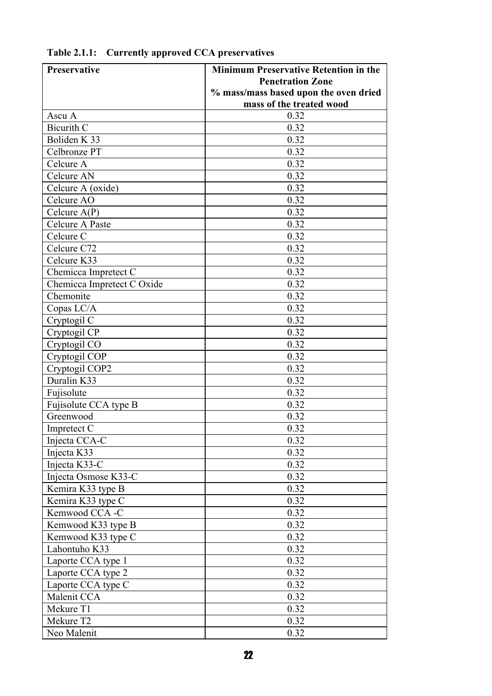| Preservative               | <b>Minimum Preservative Retention in the</b> |
|----------------------------|----------------------------------------------|
|                            | <b>Penetration Zone</b>                      |
|                            | % mass/mass based upon the oven dried        |
|                            | mass of the treated wood                     |
| Ascu A                     | 0.32                                         |
| <b>Bicurith C</b>          | 0.32                                         |
| Boliden K 33               | 0.32                                         |
| Celbronze PT               | 0.32                                         |
| Celcure A                  | 0.32                                         |
| Celcure AN                 | 0.32                                         |
| Celcure A (oxide)          | 0.32                                         |
| Celcure AO                 | 0.32                                         |
| Celcure $A(P)$             | 0.32                                         |
| Celcure A Paste            | 0.32                                         |
| Celcure C                  | 0.32                                         |
| Celcure C72                | 0.32                                         |
| Celcure K33                | 0.32                                         |
| Chemicca Impretect C       | 0.32                                         |
| Chemicca Impretect C Oxide | 0.32                                         |
| Chemonite                  | 0.32                                         |
| Copas LC/A                 | 0.32                                         |
| Cryptogil C                | 0.32                                         |
| Cryptogil CP               | 0.32                                         |
| Cryptogil CO               | 0.32                                         |
| Cryptogil COP              | 0.32                                         |
| Cryptogil COP2             | 0.32                                         |
| Duralin K33                | 0.32                                         |
| Fujisolute                 | 0.32                                         |
| Fujisolute CCA type B      | 0.32                                         |
| Greenwood                  | 0.32                                         |
| Impretect C                | 0.32                                         |
| Injecta CCA-C              | 0.32                                         |
| Injecta K33                | 0.32                                         |
| Injecta K33-C              | 0.32                                         |
| Injecta Osmose K33-C       | 0.32                                         |
| Kemira K33 type B          | 0.32                                         |
| Kemira K33 type C          | 0.32                                         |
| Kemwood CCA -C             | 0.32                                         |
| Kemwood K33 type B         | 0.32                                         |
| Kemwood K33 type C         | 0.32                                         |
| Lahontuho K33              | 0.32                                         |
| Laporte CCA type 1         | 0.32                                         |
| Laporte CCA type 2         | 0.32                                         |
| Laporte CCA type C         | 0.32                                         |
| Malenit CCA                | 0.32                                         |
| Mekure T1                  | 0.32                                         |
| Mekure T2                  | 0.32                                         |
| Neo Malenit                | 0.32                                         |

**Table 2.1.1: Currently approved CCA preservatives**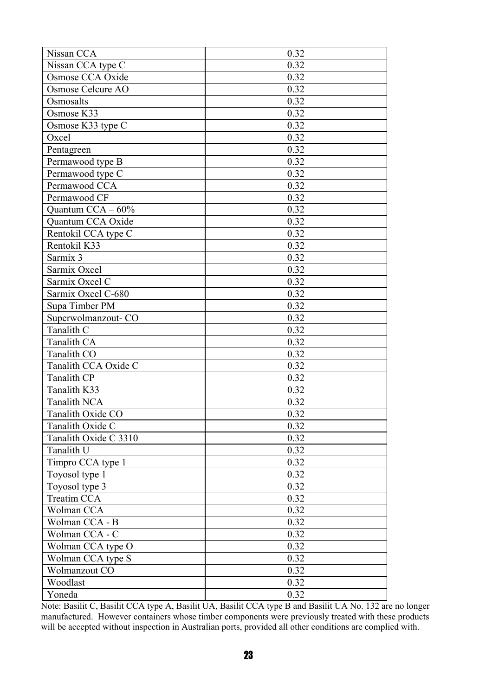| Nissan CCA            | 0.32         |
|-----------------------|--------------|
| Nissan CCA type C     | 0.32         |
| Osmose CCA Oxide      | 0.32         |
| Osmose Celcure AO     | 0.32         |
| Osmosalts             | 0.32         |
| Osmose K33            | 0.32         |
| Osmose K33 type C     | 0.32         |
| Oxcel                 | 0.32         |
| Pentagreen            | 0.32         |
| Permawood type B      | 0.32         |
| Permawood type C      | 0.32         |
| Permawood CCA         | 0.32         |
| Permawood CF          | 0.32         |
| Quantum $CCA -60\%$   | 0.32         |
| Quantum CCA Oxide     | 0.32         |
| Rentokil CCA type C   | 0.32         |
| Rentokil K33          | 0.32         |
| Sarmix 3              | 0.32         |
| Sarmix Oxcel          | 0.32         |
| Sarmix Oxcel C        | 0.32         |
| Sarmix Oxcel C-680    | 0.32         |
| Supa Timber PM        | 0.32         |
| Superwolmanzout-CO    | 0.32         |
| Tanalith C            | 0.32         |
| Tanalith CA           | 0.32         |
| Tanalith CO           | 0.32         |
| Tanalith CCA Oxide C  | 0.32         |
| <b>Tanalith CP</b>    | 0.32         |
| Tanalith K33          | 0.32         |
| <b>Tanalith NCA</b>   | 0.32         |
| Tanalith Oxide CO     | 0.32         |
| Tanalith Oxide C      | 0.32         |
| Tanalith Oxide C 3310 | 0.32         |
| Tanalith U            | 0.32         |
| Timpro CCA type 1     | 0.32         |
| Toyosol type 1        | 0.32         |
| Toyosol type 3        | 0.32         |
| Treatim CCA           | 0.32         |
| Wolman CCA            | 0.32         |
| Wolman CCA - B        | 0.32         |
| Wolman CCA - C        | 0.32         |
|                       |              |
| Wolman CCA type O     | 0.32<br>0.32 |
| Wolman CCA type S     | 0.32         |
| Wolmanzout CO         |              |
| Woodlast              | 0.32         |
| Yoneda                | 0.32         |

Note: Basilit C, Basilit CCA type A, Basilit UA, Basilit CCA type B and Basilit UA No. 132 are no longer manufactured. However containers whose timber components were previously treated with these products will be accepted without inspection in Australian ports, provided all other conditions are complied with.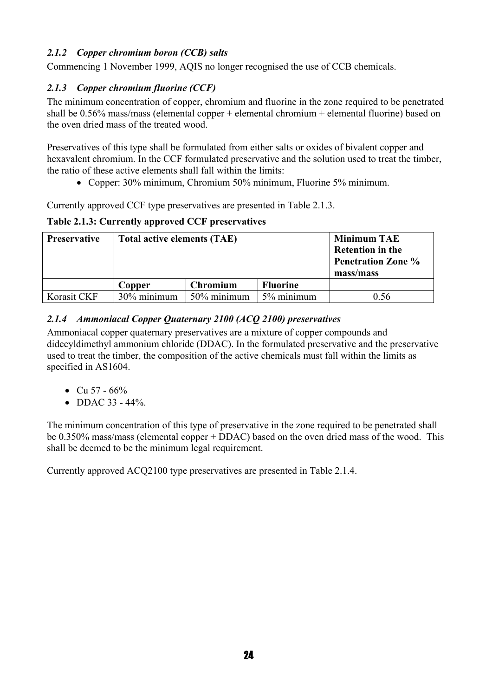#### *2.1.2 Copper chromium boron (CCB) salts*

Commencing 1 November 1999, AQIS no longer recognised the use of CCB chemicals.

#### *2.1.3 Copper chromium fluorine (CCF)*

The minimum concentration of copper, chromium and fluorine in the zone required to be penetrated shall be 0.56% mass/mass (elemental copper + elemental chromium + elemental fluorine) based on the oven dried mass of the treated wood.

Preservatives of this type shall be formulated from either salts or oxides of bivalent copper and hexavalent chromium. In the CCF formulated preservative and the solution used to treat the timber, the ratio of these active elements shall fall within the limits:

• Copper: 30% minimum, Chromium 50% minimum, Fluorine 5% minimum.

Currently approved CCF type preservatives are presented in Table 2.1.3.

#### **Table 2.1.3: Currently approved CCF preservatives**

| <b>Preservative</b> | <b>Total active elements (TAE)</b> |                 |                 | <b>Minimum TAE</b><br><b>Retention in the</b><br><b>Penetration Zone %</b><br>mass/mass |
|---------------------|------------------------------------|-----------------|-----------------|-----------------------------------------------------------------------------------------|
|                     | Copper                             | <b>Chromium</b> | <b>Fluorine</b> |                                                                                         |
| Korasit CKF         | 30% minimum                        | 50% minimum     | 5% minimum      | 0.56                                                                                    |

#### *2.1.4 Ammoniacal Copper Quaternary 2100 (ACQ 2100) preservatives*

Ammoniacal copper quaternary preservatives are a mixture of copper compounds and didecyldimethyl ammonium chloride (DDAC). In the formulated preservative and the preservative used to treat the timber, the composition of the active chemicals must fall within the limits as specified in AS1604.

- Cu  $57 66\%$
- DDAC  $33 44\%$ .

The minimum concentration of this type of preservative in the zone required to be penetrated shall be 0.350% mass/mass (elemental copper + DDAC) based on the oven dried mass of the wood. This shall be deemed to be the minimum legal requirement.

Currently approved ACQ2100 type preservatives are presented in Table 2.1.4.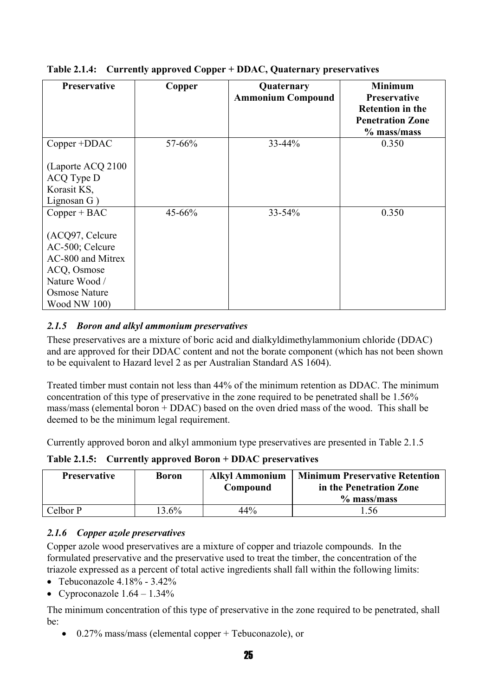| <b>Preservative</b>  | Copper | Quaternary<br><b>Ammonium Compound</b> | <b>Minimum</b><br><b>Preservative</b><br><b>Retention in the</b><br><b>Penetration Zone</b><br>$%$ mass/mass |
|----------------------|--------|----------------------------------------|--------------------------------------------------------------------------------------------------------------|
| Copper +DDAC         | 57-66% | 33-44%                                 | 0.350                                                                                                        |
| (Laporte ACQ 2100    |        |                                        |                                                                                                              |
| ACQ Type D           |        |                                        |                                                                                                              |
| Korasit KS,          |        |                                        |                                                                                                              |
| Lignosan G)          |        |                                        |                                                                                                              |
| $Copper + BAC$       | 45-66% | $33 - 54\%$                            | 0.350                                                                                                        |
| (ACQ97, Celcure      |        |                                        |                                                                                                              |
| AC-500; Celcure      |        |                                        |                                                                                                              |
| AC-800 and Mitrex    |        |                                        |                                                                                                              |
| ACQ, Osmose          |        |                                        |                                                                                                              |
| Nature Wood /        |        |                                        |                                                                                                              |
| <b>Osmose Nature</b> |        |                                        |                                                                                                              |
| <b>Wood NW 100)</b>  |        |                                        |                                                                                                              |

#### **Table 2.1.4: Currently approved Copper + DDAC, Quaternary preservatives**

#### *2.1.5 Boron and alkyl ammonium preservatives*

These preservatives are a mixture of boric acid and dialkyldimethylammonium chloride (DDAC) and are approved for their DDAC content and not the borate component (which has not been shown to be equivalent to Hazard level 2 as per Australian Standard AS 1604).

Treated timber must contain not less than 44% of the minimum retention as DDAC. The minimum concentration of this type of preservative in the zone required to be penetrated shall be 1.56% mass/mass (elemental boron + DDAC) based on the oven dried mass of the wood. This shall be deemed to be the minimum legal requirement.

Currently approved boron and alkyl ammonium type preservatives are presented in Table 2.1.5

**Table 2.1.5: Currently approved Boron + DDAC preservatives** 

| <b>Preservative</b> | <b>Boron</b> | <b>Alkyl Ammonium</b><br>Compound | <b>Minimum Preservative Retention</b><br>in the Penetration Zone<br>$%$ mass/mass |
|---------------------|--------------|-----------------------------------|-----------------------------------------------------------------------------------|
| Celbor P            | $3.6\%$      | 44%                               | .56                                                                               |

#### *2.1.6 Copper azole preservatives*

Copper azole wood preservatives are a mixture of copper and triazole compounds. In the formulated preservative and the preservative used to treat the timber, the concentration of the triazole expressed as a percent of total active ingredients shall fall within the following limits:

- Tebuconazole 4.18% 3.42%
- Cyproconazole  $1.64 1.34\%$

The minimum concentration of this type of preservative in the zone required to be penetrated, shall be:

• 0.27% mass/mass (elemental copper + Tebuconazole), or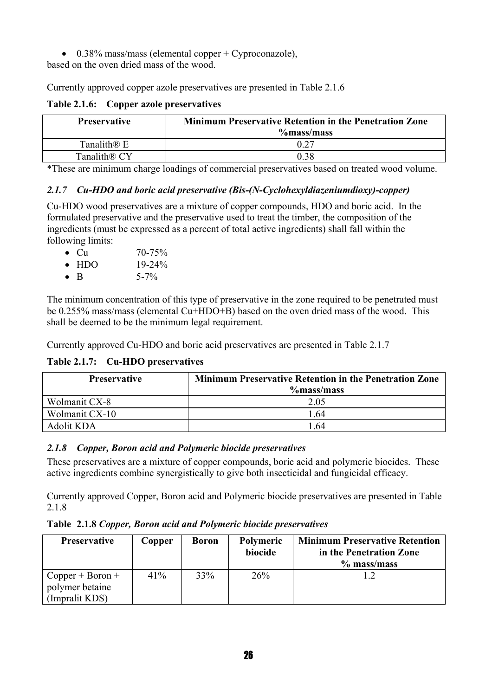• 0.38% mass/mass (elemental copper  $+$  Cyproconazole),

based on the oven dried mass of the wood.

Currently approved copper azole preservatives are presented in Table 2.1.6

**Table 2.1.6: Copper azole preservatives** 

| <b>Preservative</b>      | <b>Minimum Preservative Retention in the Penetration Zone</b><br>$%$ mass/mass |  |  |
|--------------------------|--------------------------------------------------------------------------------|--|--|
| Tanalith <sup>®</sup> E  | 0.27                                                                           |  |  |
| Tanalith <sup>®</sup> CY | 0.38                                                                           |  |  |

\*These are minimum charge loadings of commercial preservatives based on treated wood volume.

#### *2.1.7 Cu-HDO and boric acid preservative (Bis-(N-Cyclohexyldiazeniumdioxy)-copper)*

Cu-HDO wood preservatives are a mixture of copper compounds, HDO and boric acid. In the formulated preservative and the preservative used to treat the timber, the composition of the ingredients (must be expressed as a percent of total active ingredients) shall fall within the following limits:

- Cu  $70-75%$
- $HDO$  19-24%
- B  $5-7\%$

The minimum concentration of this type of preservative in the zone required to be penetrated must be 0.255% mass/mass (elemental Cu+HDO+B) based on the oven dried mass of the wood. This shall be deemed to be the minimum legal requirement.

Currently approved Cu-HDO and boric acid preservatives are presented in Table 2.1.7

#### **Table 2.1.7: Cu-HDO preservatives**

| <b>Preservative</b> | <b>Minimum Preservative Retention in the Penetration Zone</b><br>$%$ mass/mass |  |  |  |
|---------------------|--------------------------------------------------------------------------------|--|--|--|
| Wolmanit CX-8       | 2.05                                                                           |  |  |  |
| Wolmanit CX-10      | 1 64                                                                           |  |  |  |
| Adolit KDA          | 1 64                                                                           |  |  |  |

#### *2.1.8 Copper, Boron acid and Polymeric biocide preservatives*

These preservatives are a mixture of copper compounds, boric acid and polymeric biocides. These active ingredients combine synergistically to give both insecticidal and fungicidal efficacy.

Currently approved Copper, Boron acid and Polymeric biocide preservatives are presented in Table 2.1.8

**Table 2.1.8** *Copper, Boron acid and Polymeric biocide preservatives*

| <b>Preservative</b>                                     | Copper | <b>Boron</b> | <b>Polymeric</b><br>biocide | <b>Minimum Preservative Retention</b><br>in the Penetration Zone<br>$%$ mass/mass |
|---------------------------------------------------------|--------|--------------|-----------------------------|-----------------------------------------------------------------------------------|
| $Copper + Boron +$<br>polymer betaine<br>(Impralit KDS) | 41%    | 33%          | 26%                         |                                                                                   |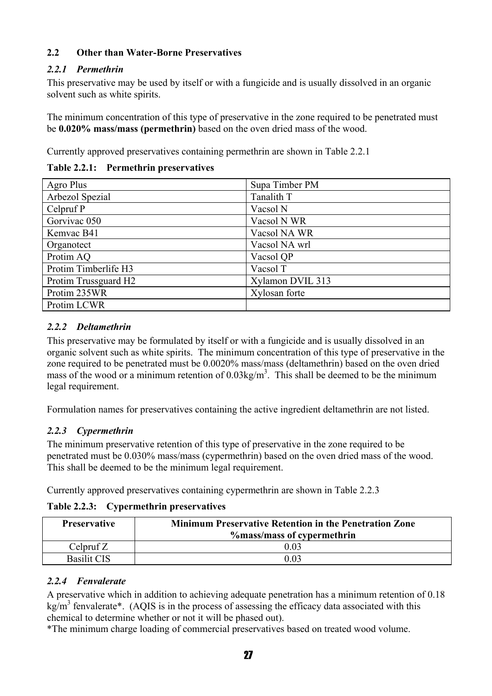#### **2.2 Other than Water-Borne Preservatives**

#### *2.2.1 Permethrin*

This preservative may be used by itself or with a fungicide and is usually dissolved in an organic solvent such as white spirits.

The minimum concentration of this type of preservative in the zone required to be penetrated must be **0.020% mass/mass (permethrin)** based on the oven dried mass of the wood.

Currently approved preservatives containing permethrin are shown in Table 2.2.1

**Table 2.2.1: Permethrin preservatives** 

| Agro Plus            | Supa Timber PM   |
|----------------------|------------------|
| Arbezol Spezial      | Tanalith T       |
| Celpruf P            | Vacsol N         |
| Gorvivac 050         | Vacsol N WR      |
| Kemvac B41           | Vacsol NA WR     |
| Organotect           | Vacsol NA wrl    |
| Protim AQ            | Vacsol QP        |
| Protim Timberlife H3 | Vacsol T         |
| Protim Trussguard H2 | Xylamon DVIL 313 |
| Protim 235WR         | Xylosan forte    |
| Protim LCWR          |                  |

#### *2.2.2 Deltamethrin*

This preservative may be formulated by itself or with a fungicide and is usually dissolved in an organic solvent such as white spirits. The minimum concentration of this type of preservative in the zone required to be penetrated must be 0.0020% mass/mass (deltamethrin) based on the oven dried mass of the wood or a minimum retention of  $0.03 \text{kg/m}^3$ . This shall be deemed to be the minimum legal requirement.

Formulation names for preservatives containing the active ingredient deltamethrin are not listed.

#### *2.2.3 Cypermethrin*

The minimum preservative retention of this type of preservative in the zone required to be penetrated must be 0.030% mass/mass (cypermethrin) based on the oven dried mass of the wood. This shall be deemed to be the minimum legal requirement.

Currently approved preservatives containing cypermethrin are shown in Table 2.2.3

**Table 2.2.3: Cypermethrin preservatives** 

| <b>Preservative</b> | <b>Minimum Preservative Retention in the Penetration Zone</b><br><b>%</b> mass/mass of cypermethrin |  |
|---------------------|-----------------------------------------------------------------------------------------------------|--|
| Celpruf $Z$         | 0.03                                                                                                |  |
| <b>Basilit CIS</b>  | 0 03                                                                                                |  |

#### *2.2.4 Fenvalerate*

A preservative which in addition to achieving adequate penetration has a minimum retention of 0.18  $\text{kg/m}^3$  fenvalerate\*. (AQIS is in the process of assessing the efficacy data associated with this chemical to determine whether or not it will be phased out).

\*The minimum charge loading of commercial preservatives based on treated wood volume.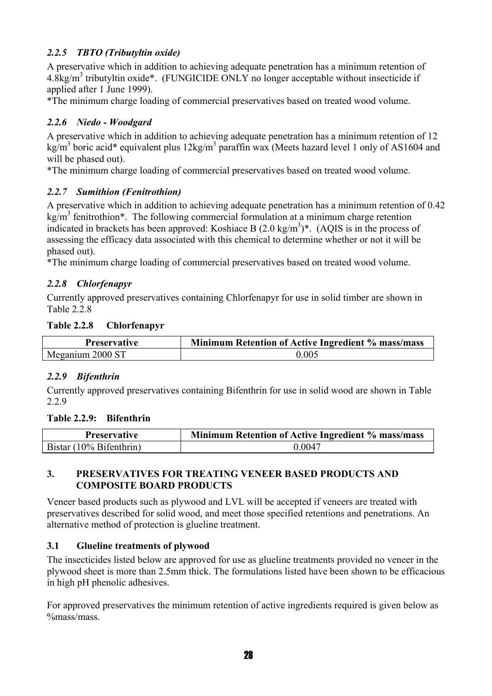#### *2.2.5 TBTO (Tributyltin oxide)*

A preservative which in addition to achieving adequate penetration has a minimum retention of  $4.8$ kg/m<sup>3</sup> tributyltin oxide\*. (FUNGICIDE ONLY no longer acceptable without insecticide if applied after 1 June 1999).

\*The minimum charge loading of commercial preservatives based on treated wood volume.

#### *2.2.6 Niedo - Woodgard*

A preservative which in addition to achieving adequate penetration has a minimum retention of 12 kg/m<sup>3</sup> boric acid\* equivalent plus  $12\text{kg/m}^3$  paraffin wax (Meets hazard level 1 only of AS1604 and will be phased out).

\*The minimum charge loading of commercial preservatives based on treated wood volume.

#### *2.2.7 Sumithion (Fenitrothion)*

A preservative which in addition to achieving adequate penetration has a minimum retention of 0.42 kg/m<sup>3</sup> fenitrothion\*. The following commercial formulation at a minimum charge retention indicated in brackets has been approved: Koshiace B  $(2.0 \text{ kg/m}^3)^*$ . (AQIS is in the process of assessing the efficacy data associated with this chemical to determine whether or not it will be phased out).

\*The minimum charge loading of commercial preservatives based on treated wood volume.

#### *2.2.8 Chlorfenapyr*

Currently approved preservatives containing Chlorfenapyr for use in solid timber are shown in Table 2.2.8

#### **Table 2.2.8 Chlorfenapyr**

| <b>Preservative</b> | Minimum Retention of Active Ingredient % mass/mass |  |  |
|---------------------|----------------------------------------------------|--|--|
| Meganium 2000 ST    | 0.005                                              |  |  |

#### *2.2.9 Bifenthrin*

Currently approved preservatives containing Bifenthrin for use in solid wood are shown in Table 2.2.9

#### **Table 2.2.9: Bifenthrin**

| <b>Preservative</b>     | Minimum Retention of Active Ingredient % mass/mass |  |  |
|-------------------------|----------------------------------------------------|--|--|
| Bistar (10% Bifenthrin) | 0.0047                                             |  |  |

#### **3. PRESERVATIVES FOR TREATING VENEER BASED PRODUCTS AND COMPOSITE BOARD PRODUCTS**

Veneer based products such as plywood and LVL will be accepted if veneers are treated with preservatives described for solid wood, and meet those specified retentions and penetrations. An alternative method of protection is glueline treatment.

#### **3.1 Glueline treatments of plywood**

The insecticides listed below are approved for use as glueline treatments provided no veneer in the plywood sheet is more than 2.5mm thick. The formulations listed have been shown to be efficacious in high pH phenolic adhesives.

For approved preservatives the minimum retention of active ingredients required is given below as %mass/mass.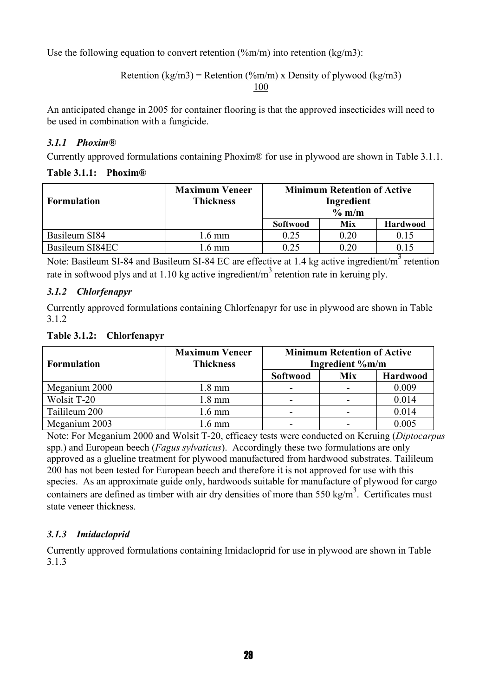Use the following equation to convert retention  $(\frac{\%m}{m})$  into retention (kg/m3):

#### Retention (kg/m3) = Retention (%m/m) x Density of plywood (kg/m3) 100

An anticipated change in 2005 for container flooring is that the approved insecticides will need to be used in combination with a fungicide.

#### *3.1.1 Phoxim®*

Currently approved formulations containing Phoxim® for use in plywood are shown in Table 3.1.1.

#### **Table 3.1.1: Phoxim®**

| <b>Formulation</b> | <b>Maximum Veneer</b><br><b>Thickness</b> | <b>Minimum Retention of Active</b><br>Ingredient<br>$\%$ m/m |      |                 |
|--------------------|-------------------------------------------|--------------------------------------------------------------|------|-----------------|
|                    |                                           | <b>Softwood</b>                                              | Mix  | <b>Hardwood</b> |
| Basileum SI84      | l.6 mm                                    | 0.25                                                         | 0.20 | 0.15            |
| Basileum SI84EC    | .6 mm                                     | 0.25                                                         | 0.20 |                 |

Note: Basileum SI-84 and Basileum SI-84 EC are effective at 1.4 kg active ingredient/m<sup>3</sup> retention rate in softwood plys and at 1.10 kg active ingredient/ $m<sup>3</sup>$  retention rate in keruing ply.

#### *3.1.2 Chlorfenapyr*

Currently approved formulations containing Chlorfenapyr for use in plywood are shown in Table 3.1.2

#### **Table 3.1.2: Chlorfenapyr**

| <b>Formulation</b> | <b>Maximum Veneer</b><br><b>Thickness</b> | <b>Minimum Retention of Active</b><br>Ingredient %m/m |     |          |
|--------------------|-------------------------------------------|-------------------------------------------------------|-----|----------|
|                    |                                           | Softwood                                              | Mix | Hardwood |
| Meganium 2000      | $1.8 \text{ mm}$                          |                                                       |     | 0.009    |
| Wolsit T-20        | 1.8 mm                                    | -                                                     |     | 0.014    |
| Tailileum 200      | 1.6 mm                                    |                                                       |     | 0.014    |
| Meganium 2003      | $.6 \text{ mm}$                           |                                                       |     | 0.005    |

Note: For Meganium 2000 and Wolsit T-20, efficacy tests were conducted on Keruing (*Diptocarpus* spp.) and European beech (*Fagus sylvaticus*). Accordingly these two formulations are only approved as a glueline treatment for plywood manufactured from hardwood substrates. Tailileum 200 has not been tested for European beech and therefore it is not approved for use with this species. As an approximate guide only, hardwoods suitable for manufacture of plywood for cargo containers are defined as timber with air dry densities of more than 550 kg/m<sup>3</sup>. Certificates must state veneer thickness.

#### *3.1.3 Imidacloprid*

Currently approved formulations containing Imidacloprid for use in plywood are shown in Table 3.1.3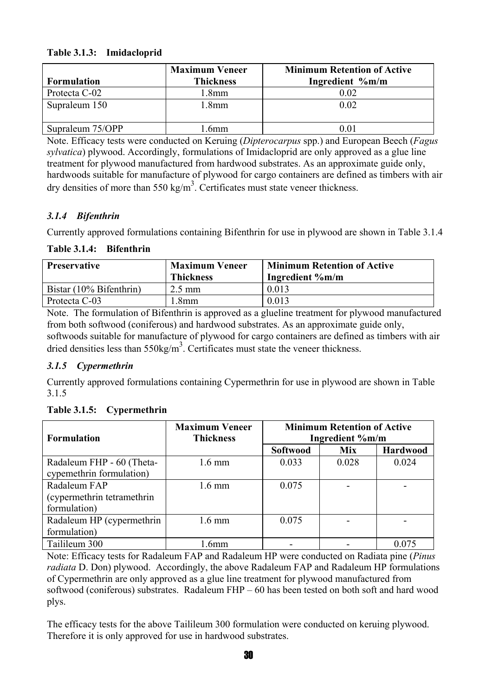#### **Table 3.1.3: Imidacloprid**

| <b>Formulation</b> | <b>Maximum Veneer</b><br><b>Thickness</b> | <b>Minimum Retention of Active</b><br>Ingredient %m/m |
|--------------------|-------------------------------------------|-------------------------------------------------------|
| Protecta C-02      | .8mm                                      | $0.02\,$                                              |
| Supraleum 150      | .8mm                                      | 0.02                                                  |
| Supraleum 75/OPP   | 6 <sub>mm</sub>                           |                                                       |

Note. Efficacy tests were conducted on Keruing (*Dipterocarpus* spp.) and European Beech (*Fagus sylvatica*) plywood. Accordingly, formulations of Imidacloprid are only approved as a glue line treatment for plywood manufactured from hardwood substrates. As an approximate guide only, hardwoods suitable for manufacture of plywood for cargo containers are defined as timbers with air dry densities of more than 550 kg/m<sup>3</sup>. Certificates must state veneer thickness.

#### *3.1.4 Bifenthrin*

Currently approved formulations containing Bifenthrin for use in plywood are shown in Table 3.1.4

#### **Table 3.1.4: Bifenthrin**

| <b>Preservative</b>     | <b>Maximum Veneer</b><br><b>Thickness</b> | <b>Minimum Retention of Active</b><br>Ingredient %m/m |
|-------------------------|-------------------------------------------|-------------------------------------------------------|
| Bistar (10% Bifenthrin) | $2.5 \text{ mm}$                          | 0.013                                                 |
| Protecta C-03           | .8mm                                      | 0.013                                                 |

Note. The formulation of Bifenthrin is approved as a glueline treatment for plywood manufactured from both softwood (coniferous) and hardwood substrates. As an approximate guide only, softwoods suitable for manufacture of plywood for cargo containers are defined as timbers with air dried densities less than  $550 \text{kg/m}^3$ . Certificates must state the veneer thickness.

#### *3.1.5 Cypermethrin*

Currently approved formulations containing Cypermethrin for use in plywood are shown in Table 3.1.5

| <b>Formulation</b>         | <b>Maximum Veneer</b><br><b>Thickness</b> | <b>Minimum Retention of Active</b><br>Ingredient %m/m |            |          |
|----------------------------|-------------------------------------------|-------------------------------------------------------|------------|----------|
|                            |                                           | <b>Softwood</b>                                       | <b>Mix</b> | Hardwood |
| Radaleum FHP - 60 (Theta-  | $1.6 \text{ mm}$                          | 0.033                                                 | 0.028      | 0.024    |
| cypemethrin formulation)   |                                           |                                                       |            |          |
| Radaleum FAP               | $1.6 \text{ mm}$                          | 0.075                                                 |            |          |
| (cypermethrin tetramethrin |                                           |                                                       |            |          |
| formulation)               |                                           |                                                       |            |          |
| Radaleum HP (cypermethrin  | $1.6 \text{ mm}$                          | 0.075                                                 |            |          |
| formulation)               |                                           |                                                       |            |          |
| Tailileum 300              | 6 <sub>mm</sub>                           |                                                       |            | 0.075    |

Note: Efficacy tests for Radaleum FAP and Radaleum HP were conducted on Radiata pine (*Pinus radiata* D. Don) plywood. Accordingly, the above Radaleum FAP and Radaleum HP formulations of Cypermethrin are only approved as a glue line treatment for plywood manufactured from softwood (coniferous) substrates. Radaleum FHP – 60 has been tested on both soft and hard wood plys.

The efficacy tests for the above Tailileum 300 formulation were conducted on keruing plywood. Therefore it is only approved for use in hardwood substrates.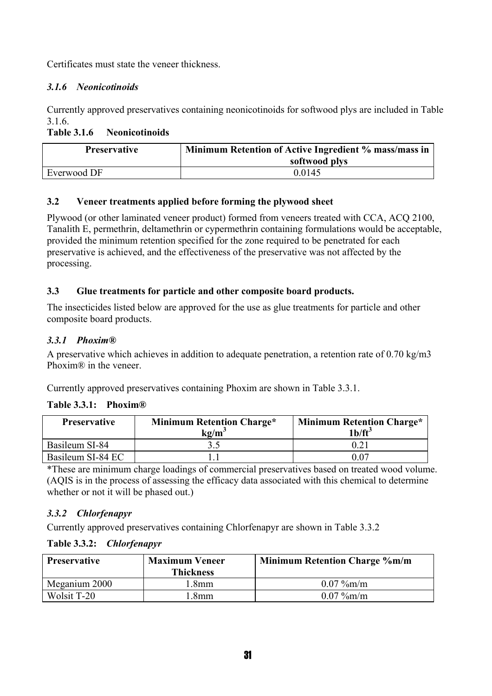Certificates must state the veneer thickness.

#### *3.1.6 Neonicotinoids*

Currently approved preservatives containing neonicotinoids for softwood plys are included in Table 3.1.6.

#### **Table 3.1.6 Neonicotinoids**

| <b>Preservative</b> | Minimum Retention of Active Ingredient % mass/mass in<br>softwood plys |
|---------------------|------------------------------------------------------------------------|
| Everwood DF         | 0.0145                                                                 |

#### **3.2 Veneer treatments applied before forming the plywood sheet**

Plywood (or other laminated veneer product) formed from veneers treated with CCA, ACQ 2100, Tanalith E, permethrin, deltamethrin or cypermethrin containing formulations would be acceptable, provided the minimum retention specified for the zone required to be penetrated for each preservative is achieved, and the effectiveness of the preservative was not affected by the processing.

#### **3.3 Glue treatments for particle and other composite board products.**

The insecticides listed below are approved for the use as glue treatments for particle and other composite board products.

#### *3.3.1 Phoxim®*

A preservative which achieves in addition to adequate penetration, a retention rate of 0.70 kg/m3 Phoxim® in the veneer.

Currently approved preservatives containing Phoxim are shown in Table 3.3.1.

#### **Table 3.3.1: Phoxim®**

| <b>Preservative</b> | <b>Minimum Retention Charge*</b><br>kg/m <sup>:</sup> | <b>Minimum Retention Charge*</b><br>1 <sup>b</sup> /ft <sup>3</sup> |
|---------------------|-------------------------------------------------------|---------------------------------------------------------------------|
| Basileum SI-84      |                                                       |                                                                     |
| Basileum SI-84 EC   |                                                       | 0.07                                                                |

\*These are minimum charge loadings of commercial preservatives based on treated wood volume. (AQIS is in the process of assessing the efficacy data associated with this chemical to determine whether or not it will be phased out.)

#### *3.3.2 Chlorfenapyr*

Currently approved preservatives containing Chlorfenapyr are shown in Table 3.3.2

| <b>Preservative</b> | <b>Maximum Veneer</b> | <b>Minimum Retention Charge %m/m</b> |  |
|---------------------|-----------------------|--------------------------------------|--|
|                     | <b>Thickness</b>      |                                      |  |
| Meganium 2000       | .8mm                  | $0.07\%$ m/m                         |  |
| Wolsit T-20         | .8 <sub>mm</sub>      | $0.07\%$ m/m                         |  |

#### **Table 3.3.2:** *Chlorfenapyr*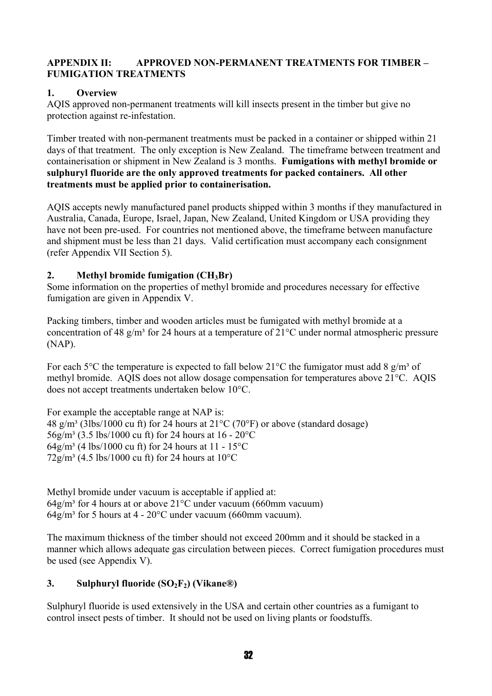#### **APPENDIX II: APPROVED NON-PERMANENT TREATMENTS FOR TIMBER – FUMIGATION TREATMENTS**

#### **1. Overview**

AQIS approved non-permanent treatments will kill insects present in the timber but give no protection against re-infestation.

Timber treated with non-permanent treatments must be packed in a container or shipped within 21 days of that treatment. The only exception is New Zealand. The timeframe between treatment and containerisation or shipment in New Zealand is 3 months. **Fumigations with methyl bromide or sulphuryl fluoride are the only approved treatments for packed containers. All other treatments must be applied prior to containerisation.** 

AQIS accepts newly manufactured panel products shipped within 3 months if they manufactured in Australia, Canada, Europe, Israel, Japan, New Zealand, United Kingdom or USA providing they have not been pre-used. For countries not mentioned above, the timeframe between manufacture and shipment must be less than 21 days. Valid certification must accompany each consignment (refer Appendix VII Section 5).

#### **2. Methyl bromide fumigation (CH3Br)**

Some information on the properties of methyl bromide and procedures necessary for effective fumigation are given in Appendix V.

Packing timbers, timber and wooden articles must be fumigated with methyl bromide at a concentration of 48 g/m<sup>3</sup> for 24 hours at a temperature of  $21^{\circ}$ C under normal atmospheric pressure (NAP).

For each 5<sup>o</sup>C the temperature is expected to fall below 21<sup>o</sup>C the fumigator must add 8 g/m<sup>3</sup> of methyl bromide. AQIS does not allow dosage compensation for temperatures above 21°C. AQIS does not accept treatments undertaken below 10°C.

For example the acceptable range at NAP is: 48  $g/m^3$  (3lbs/1000 cu ft) for 24 hours at 21 $^{\circ}$ C (70 $^{\circ}$ F) or above (standard dosage) 56g/m³ (3.5 lbs/1000 cu ft) for 24 hours at 16 - 20°C 64g/m<sup>3</sup> (4 lbs/1000 cu ft) for 24 hours at 11 - 15<sup>o</sup>C  $72g/m^3$  (4.5 lbs/1000 cu ft) for 24 hours at 10<sup>o</sup>C

Methyl bromide under vacuum is acceptable if applied at:  $64$ g/m<sup>3</sup> for 4 hours at or above 21<sup>o</sup>C under vacuum (660mm vacuum)  $64g/m<sup>3</sup>$  for 5 hours at 4 - 20 $^{\circ}$ C under vacuum (660mm vacuum).

The maximum thickness of the timber should not exceed 200mm and it should be stacked in a manner which allows adequate gas circulation between pieces. Correct fumigation procedures must be used (see Appendix V).

#### **3.** Sulphuryl fluoride (SO<sub>2</sub>F<sub>2</sub>) (Vikane®)

Sulphuryl fluoride is used extensively in the USA and certain other countries as a fumigant to control insect pests of timber. It should not be used on living plants or foodstuffs.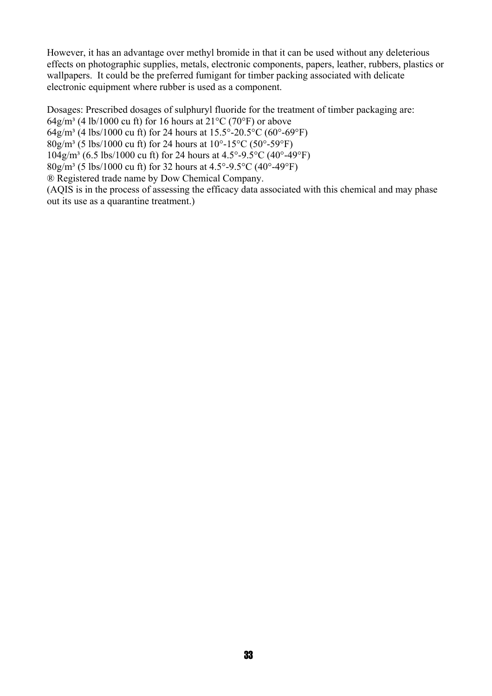However, it has an advantage over methyl bromide in that it can be used without any deleterious effects on photographic supplies, metals, electronic components, papers, leather, rubbers, plastics or wallpapers. It could be the preferred fumigant for timber packing associated with delicate electronic equipment where rubber is used as a component.

Dosages: Prescribed dosages of sulphuryl fluoride for the treatment of timber packaging are:

64g/m<sup>3</sup> (4 lb/1000 cu ft) for 16 hours at  $21^{\circ}$ C (70°F) or above

64g/m<sup>3</sup> (4 lbs/1000 cu ft) for 24 hours at  $15.5^{\circ}$ -20.5°C (60°-69°F)

 $80g/m^3$  (5 lbs/1000 cu ft) for 24 hours at 10°-15°C (50°-59°F)

 $104$ g/m³ (6.5 lbs/1000 cu ft) for 24 hours at  $4.5^{\circ}$ -9.5 $^{\circ}$ C (40 $^{\circ}$ -49 $^{\circ}$ F)

 $80g/m<sup>3</sup>$  (5 lbs/1000 cu ft) for 32 hours at 4.5°-9.5°C (40°-49°F)

® Registered trade name by Dow Chemical Company.

(AQIS is in the process of assessing the efficacy data associated with this chemical and may phase out its use as a quarantine treatment.)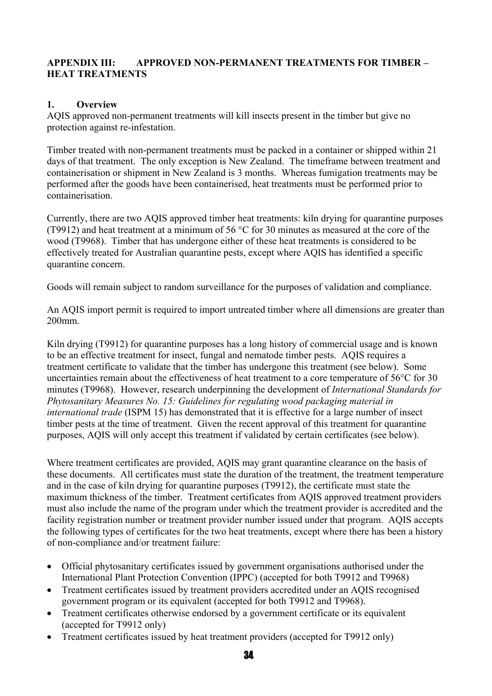#### **APPENDIX III: APPROVED NON-PERMANENT TREATMENTS FOR TIMBER – HEAT TREATMENTS**

#### **1. Overview**

AQIS approved non-permanent treatments will kill insects present in the timber but give no protection against re-infestation.

Timber treated with non-permanent treatments must be packed in a container or shipped within 21 days of that treatment. The only exception is New Zealand. The timeframe between treatment and containerisation or shipment in New Zealand is 3 months. Whereas fumigation treatments may be performed after the goods have been containerised, heat treatments must be performed prior to containerisation.

Currently, there are two AQIS approved timber heat treatments: kiln drying for quarantine purposes (T9912) and heat treatment at a minimum of 56 °C for 30 minutes as measured at the core of the wood (T9968). Timber that has undergone either of these heat treatments is considered to be effectively treated for Australian quarantine pests, except where AQIS has identified a specific quarantine concern.

Goods will remain subject to random surveillance for the purposes of validation and compliance.

An AQIS import permit is required to import untreated timber where all dimensions are greater than 200mm.

Kiln drying (T9912) for quarantine purposes has a long history of commercial usage and is known to be an effective treatment for insect, fungal and nematode timber pests. AQIS requires a treatment certificate to validate that the timber has undergone this treatment (see below). Some uncertainties remain about the effectiveness of heat treatment to a core temperature of 56°C for 30 minutes (T9968). However, research underpinning the development of *International Standards for Phytosanitary Measures No. 15: Guidelines for regulating wood packaging material in international trade* (ISPM 15) has demonstrated that it is effective for a large number of insect timber pests at the time of treatment. Given the recent approval of this treatment for quarantine purposes, AQIS will only accept this treatment if validated by certain certificates (see below).

Where treatment certificates are provided, AQIS may grant quarantine clearance on the basis of these documents. All certificates must state the duration of the treatment, the treatment temperature and in the case of kiln drying for quarantine purposes (T9912), the certificate must state the maximum thickness of the timber. Treatment certificates from AQIS approved treatment providers must also include the name of the program under which the treatment provider is accredited and the facility registration number or treatment provider number issued under that program. AQIS accepts the following types of certificates for the two heat treatments, except where there has been a history of non-compliance and/or treatment failure:

- Official phytosanitary certificates issued by government organisations authorised under the International Plant Protection Convention (IPPC) (accepted for both T9912 and T9968)
- Treatment certificates issued by treatment providers accredited under an AQIS recognised government program or its equivalent (accepted for both T9912 and T9968).
- Treatment certificates otherwise endorsed by a government certificate or its equivalent (accepted for T9912 only)
- Treatment certificates issued by heat treatment providers (accepted for T9912 only)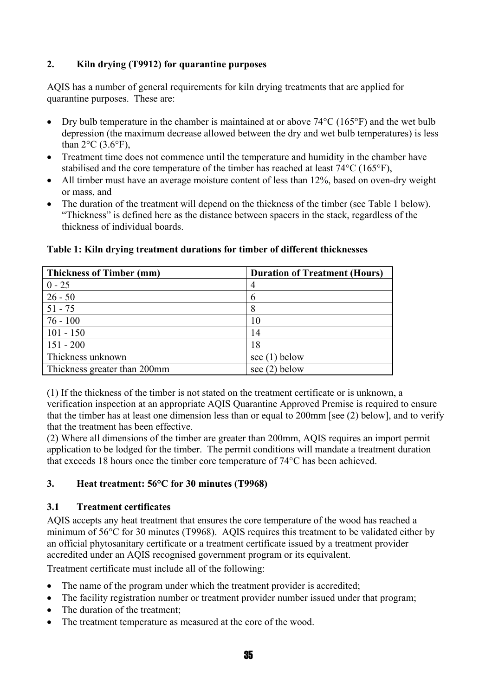#### **2. Kiln drying (T9912) for quarantine purposes**

AQIS has a number of general requirements for kiln drying treatments that are applied for quarantine purposes. These are:

- Dry bulb temperature in the chamber is maintained at or above 74 °C (165 °F) and the wet bulb depression (the maximum decrease allowed between the dry and wet bulb temperatures) is less than  $2^{\circ}$ C (3.6 $^{\circ}$ F),
- Treatment time does not commence until the temperature and humidity in the chamber have stabilised and the core temperature of the timber has reached at least 74°C (165°F),
- All timber must have an average moisture content of less than 12%, based on oven-dry weight or mass, and
- The duration of the treatment will depend on the thickness of the timber (see Table 1 below). "Thickness" is defined here as the distance between spacers in the stack, regardless of the thickness of individual boards.

| <b>Thickness of Timber (mm)</b> | <b>Duration of Treatment (Hours)</b> |
|---------------------------------|--------------------------------------|
| $0 - 25$                        | $\overline{4}$                       |
| $26 - 50$                       | 6                                    |
| $51 - 75$                       | 8                                    |
| $76 - 100$                      | 10                                   |
| $101 - 150$                     | 14                                   |
| $151 - 200$                     | 18                                   |
| Thickness unknown               | see $(1)$ below                      |
| Thickness greater than 200mm    | see $(2)$ below                      |

#### **Table 1: Kiln drying treatment durations for timber of different thicknesses**

(1) If the thickness of the timber is not stated on the treatment certificate or is unknown, a verification inspection at an appropriate AQIS Quarantine Approved Premise is required to ensure that the timber has at least one dimension less than or equal to 200mm [see (2) below], and to verify that the treatment has been effective.

(2) Where all dimensions of the timber are greater than 200mm, AQIS requires an import permit application to be lodged for the timber. The permit conditions will mandate a treatment duration that exceeds 18 hours once the timber core temperature of 74°C has been achieved.

#### **3. Heat treatment: 56°C for 30 minutes (T9968)**

#### **3.1 Treatment certificates**

AQIS accepts any heat treatment that ensures the core temperature of the wood has reached a minimum of 56°C for 30 minutes (T9968). AQIS requires this treatment to be validated either by an official phytosanitary certificate or a treatment certificate issued by a treatment provider accredited under an AQIS recognised government program or its equivalent.

Treatment certificate must include all of the following:

- The name of the program under which the treatment provider is accredited;
- The facility registration number or treatment provider number issued under that program;
- The duration of the treatment:
- The treatment temperature as measured at the core of the wood.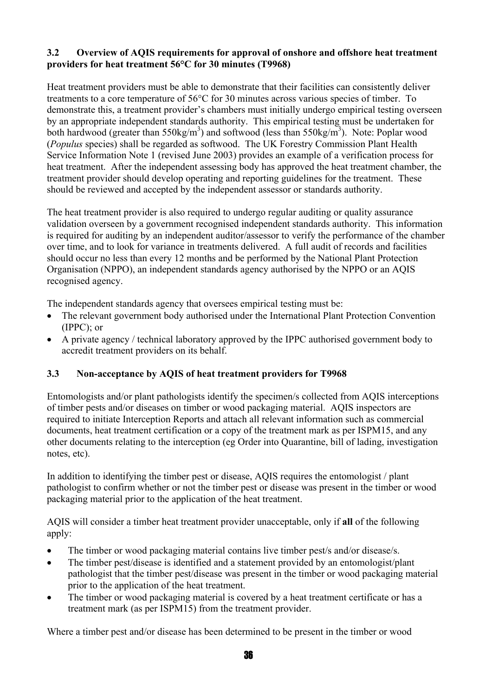#### **3.2 Overview of AQIS requirements for approval of onshore and offshore heat treatment providers for heat treatment 56°C for 30 minutes (T9968)**

Heat treatment providers must be able to demonstrate that their facilities can consistently deliver treatments to a core temperature of 56°C for 30 minutes across various species of timber. To demonstrate this, a treatment provider's chambers must initially undergo empirical testing overseen by an appropriate independent standards authority. This empirical testing must be undertaken for both hardwood (greater than  $550\text{kg/m}^3$ ) and softwood (less than  $550\text{kg/m}^3$ ). Note: Poplar wood (*Populus* species) shall be regarded as softwood. The UK Forestry Commission Plant Health Service Information Note 1 (revised June 2003) provides an example of a verification process for heat treatment. After the independent assessing body has approved the heat treatment chamber, the treatment provider should develop operating and reporting guidelines for the treatment. These should be reviewed and accepted by the independent assessor or standards authority.

The heat treatment provider is also required to undergo regular auditing or quality assurance validation overseen by a government recognised independent standards authority. This information is required for auditing by an independent auditor/assessor to verify the performance of the chamber over time, and to look for variance in treatments delivered. A full audit of records and facilities should occur no less than every 12 months and be performed by the National Plant Protection Organisation (NPPO), an independent standards agency authorised by the NPPO or an AQIS recognised agency.

The independent standards agency that oversees empirical testing must be:

- The relevant government body authorised under the International Plant Protection Convention (IPPC); or
- A private agency / technical laboratory approved by the IPPC authorised government body to accredit treatment providers on its behalf.

#### **3.3 Non-acceptance by AQIS of heat treatment providers for T9968**

Entomologists and/or plant pathologists identify the specimen/s collected from AQIS interceptions of timber pests and/or diseases on timber or wood packaging material. AQIS inspectors are required to initiate Interception Reports and attach all relevant information such as commercial documents, heat treatment certification or a copy of the treatment mark as per ISPM15, and any other documents relating to the interception (eg Order into Quarantine, bill of lading, investigation notes, etc).

In addition to identifying the timber pest or disease, AQIS requires the entomologist / plant pathologist to confirm whether or not the timber pest or disease was present in the timber or wood packaging material prior to the application of the heat treatment.

AQIS will consider a timber heat treatment provider unacceptable, only if **all** of the following apply:

- The timber or wood packaging material contains live timber pest/s and/or disease/s.
- The timber pest/disease is identified and a statement provided by an entomologist/plant pathologist that the timber pest/disease was present in the timber or wood packaging material prior to the application of the heat treatment.
- The timber or wood packaging material is covered by a heat treatment certificate or has a treatment mark (as per ISPM15) from the treatment provider.

Where a timber pest and/or disease has been determined to be present in the timber or wood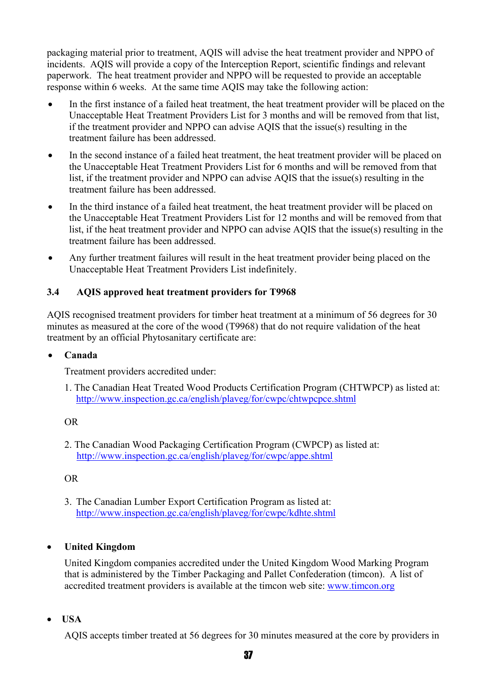packaging material prior to treatment, AQIS will advise the heat treatment provider and NPPO of incidents. AQIS will provide a copy of the Interception Report, scientific findings and relevant paperwork. The heat treatment provider and NPPO will be requested to provide an acceptable response within 6 weeks. At the same time AQIS may take the following action:

- In the first instance of a failed heat treatment, the heat treatment provider will be placed on the Unacceptable Heat Treatment Providers List for 3 months and will be removed from that list, if the treatment provider and NPPO can advise AQIS that the issue(s) resulting in the treatment failure has been addressed.
- In the second instance of a failed heat treatment, the heat treatment provider will be placed on the Unacceptable Heat Treatment Providers List for 6 months and will be removed from that list, if the treatment provider and NPPO can advise AQIS that the issue(s) resulting in the treatment failure has been addressed.
- In the third instance of a failed heat treatment, the heat treatment provider will be placed on the Unacceptable Heat Treatment Providers List for 12 months and will be removed from that list, if the heat treatment provider and NPPO can advise AQIS that the issue(s) resulting in the treatment failure has been addressed.
- Any further treatment failures will result in the heat treatment provider being placed on the Unacceptable Heat Treatment Providers List indefinitely.

#### **3.4 AQIS approved heat treatment providers for T9968**

AQIS recognised treatment providers for timber heat treatment at a minimum of 56 degrees for 30 minutes as measured at the core of the wood (T9968) that do not require validation of the heat treatment by an official Phytosanitary certificate are:

#### • **Canada**

Treatment providers accredited under:

1. The Canadian Heat Treated Wood Products Certification Program (CHTWPCP) as listed at: <http://www.inspection.gc.ca/english/plaveg/for/cwpc/chtwpcpce.shtml>

OR

2. The Canadian Wood Packaging Certification Program (CWPCP) as listed at: <http://www.inspection.gc.ca/english/plaveg/for/cwpc/appe.shtml>

OR

3. The Canadian Lumber Export Certification Program as listed at: <http://www.inspection.gc.ca/english/plaveg/for/cwpc/kdhte.shtml>

#### • **United Kingdom**

United Kingdom companies accredited under the United Kingdom Wood Marking Program that is administered by the Timber Packaging and Pallet Confederation (timcon). A list of accredited treatment providers is available at the timcon web site: [www.timcon.org](http://www.timcon.org/)

• **USA**

AQIS accepts timber treated at 56 degrees for 30 minutes measured at the core by providers in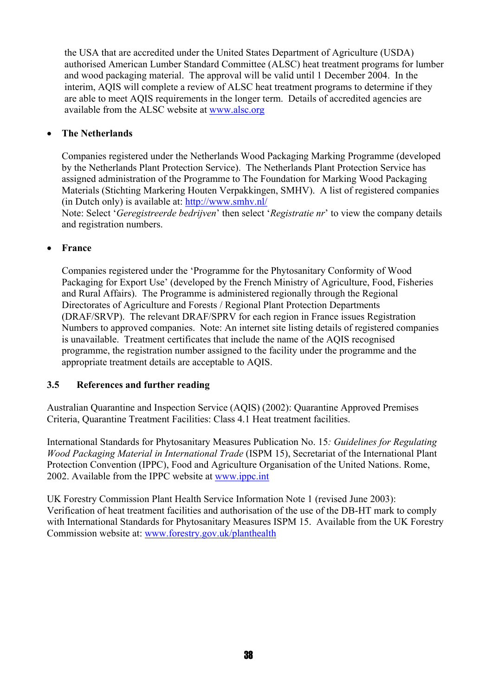the USA that are accredited under the United States Department of Agriculture (USDA) authorised American Lumber Standard Committee (ALSC) heat treatment programs for lumber and wood packaging material. The approval will be valid until 1 December 2004. In the interim, AQIS will complete a review of ALSC heat treatment programs to determine if they are able to meet AQIS requirements in the longer term. Details of accredited agencies are available from the ALSC website at [www.alsc.org](http://www.alsc.org/)

#### • **The Netherlands**

Companies registered under the Netherlands Wood Packaging Marking Programme (developed by the Netherlands Plant Protection Service). The Netherlands Plant Protection Service has assigned administration of the Programme to The Foundation for Marking Wood Packaging Materials (Stichting Markering Houten Verpakkingen, SMHV). A list of registered companies (in Dutch only) is available at:<http://www.smhv.nl/>

Note: Select '*Geregistreerde bedrijven*' then select '*Registratie nr*' to view the company details and registration numbers.

#### • **France**

Companies registered under the 'Programme for the Phytosanitary Conformity of Wood Packaging for Export Use' (developed by the French Ministry of Agriculture, Food, Fisheries and Rural Affairs). The Programme is administered regionally through the Regional Directorates of Agriculture and Forests / Regional Plant Protection Departments (DRAF/SRVP). The relevant DRAF/SPRV for each region in France issues Registration Numbers to approved companies. Note: An internet site listing details of registered companies is unavailable. Treatment certificates that include the name of the AQIS recognised programme, the registration number assigned to the facility under the programme and the appropriate treatment details are acceptable to AQIS.

#### **3.5 References and further reading**

Australian Quarantine and Inspection Service (AQIS) (2002): Quarantine Approved Premises Criteria, Quarantine Treatment Facilities: Class 4.1 Heat treatment facilities.

International Standards for Phytosanitary Measures Publication No. 15*: Guidelines for Regulating Wood Packaging Material in International Trade* (ISPM 15), Secretariat of the International Plant Protection Convention (IPPC), Food and Agriculture Organisation of the United Nations. Rome, 2002. Available from the IPPC website at [www.ippc.int](http://www.ippc.int/)

UK Forestry Commission Plant Health Service Information Note 1 (revised June 2003): Verification of heat treatment facilities and authorisation of the use of the DB-HT mark to comply with International Standards for Phytosanitary Measures ISPM 15. Available from the UK Forestry Commission website at: [www.forestry.gov.uk/planthealth](http://www.forestry.gov.uk/planthealth)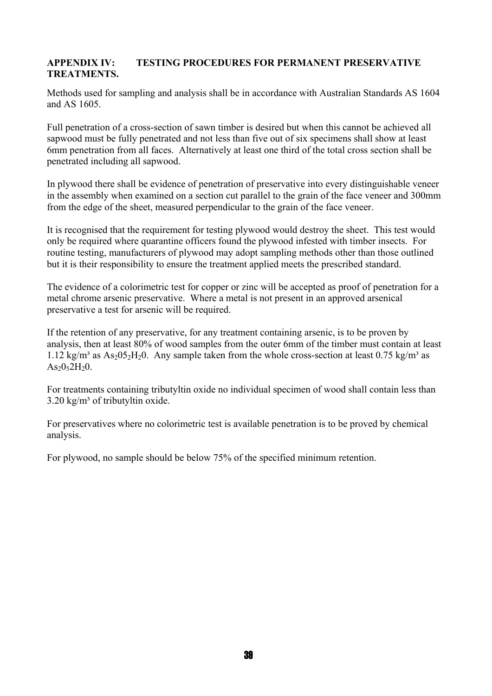#### **APPENDIX IV: TESTING PROCEDURES FOR PERMANENT PRESERVATIVE TREATMENTS.**

Methods used for sampling and analysis shall be in accordance with Australian Standards AS 1604 and AS 1605.

Full penetration of a cross-section of sawn timber is desired but when this cannot be achieved all sapwood must be fully penetrated and not less than five out of six specimens shall show at least 6mm penetration from all faces. Alternatively at least one third of the total cross section shall be penetrated including all sapwood.

In plywood there shall be evidence of penetration of preservative into every distinguishable veneer in the assembly when examined on a section cut parallel to the grain of the face veneer and 300mm from the edge of the sheet, measured perpendicular to the grain of the face veneer.

It is recognised that the requirement for testing plywood would destroy the sheet. This test would only be required where quarantine officers found the plywood infested with timber insects. For routine testing, manufacturers of plywood may adopt sampling methods other than those outlined but it is their responsibility to ensure the treatment applied meets the prescribed standard.

The evidence of a colorimetric test for copper or zinc will be accepted as proof of penetration for a metal chrome arsenic preservative. Where a metal is not present in an approved arsenical preservative a test for arsenic will be required.

If the retention of any preservative, for any treatment containing arsenic, is to be proven by analysis, then at least 80% of wood samples from the outer 6mm of the timber must contain at least 1.12 kg/m<sup>3</sup> as As<sub>2</sub>05<sub>2</sub>H<sub>2</sub>0. Any sample taken from the whole cross-section at least 0.75 kg/m<sup>3</sup> as  $As<sub>2</sub>0<sub>5</sub>2H<sub>2</sub>0.$ 

For treatments containing tributyltin oxide no individual specimen of wood shall contain less than  $3.20 \text{ kg/m}^3$  of tributyltin oxide.

For preservatives where no colorimetric test is available penetration is to be proved by chemical analysis.

For plywood, no sample should be below 75% of the specified minimum retention.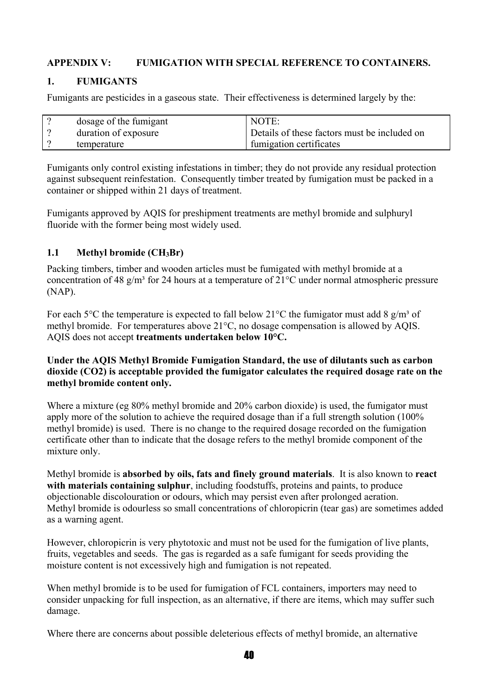#### **APPENDIX V: FUMIGATION WITH SPECIAL REFERENCE TO CONTAINERS.**

#### **1. FUMIGANTS**

Fumigants are pesticides in a gaseous state. Their effectiveness is determined largely by the:

| dosage of the fumigant | NOTE:                                        |
|------------------------|----------------------------------------------|
| duration of exposure   | Details of these factors must be included on |
| temperature            | fumigation certificates                      |

Fumigants only control existing infestations in timber; they do not provide any residual protection against subsequent reinfestation. Consequently timber treated by fumigation must be packed in a container or shipped within 21 days of treatment.

Fumigants approved by AQIS for preshipment treatments are methyl bromide and sulphuryl fluoride with the former being most widely used.

#### **1.1 Methyl bromide (CH3Br)**

Packing timbers, timber and wooden articles must be fumigated with methyl bromide at a concentration of 48 g/m<sup>3</sup> for 24 hours at a temperature of  $21^{\circ}$ C under normal atmospheric pressure (NAP).

For each 5<sup>o</sup>C the temperature is expected to fall below 21<sup>o</sup>C the fumigator must add 8 g/m<sup>3</sup> of methyl bromide. For temperatures above 21°C, no dosage compensation is allowed by AQIS. AQIS does not accept **treatments undertaken below 10°C.**

#### **Under the AQIS Methyl Bromide Fumigation Standard, the use of dilutants such as carbon dioxide (CO2) is acceptable provided the fumigator calculates the required dosage rate on the methyl bromide content only.**

Where a mixture (eg 80% methyl bromide and 20% carbon dioxide) is used, the fumigator must apply more of the solution to achieve the required dosage than if a full strength solution (100% methyl bromide) is used. There is no change to the required dosage recorded on the fumigation certificate other than to indicate that the dosage refers to the methyl bromide component of the mixture only.

Methyl bromide is **absorbed by oils, fats and finely ground materials**. It is also known to **react with materials containing sulphur**, including foodstuffs, proteins and paints, to produce objectionable discolouration or odours, which may persist even after prolonged aeration. Methyl bromide is odourless so small concentrations of chloropicrin (tear gas) are sometimes added as a warning agent.

However, chloropicrin is very phytotoxic and must not be used for the fumigation of live plants, fruits, vegetables and seeds. The gas is regarded as a safe fumigant for seeds providing the moisture content is not excessively high and fumigation is not repeated.

When methyl bromide is to be used for fumigation of FCL containers, importers may need to consider unpacking for full inspection, as an alternative, if there are items, which may suffer such damage.

Where there are concerns about possible deleterious effects of methyl bromide, an alternative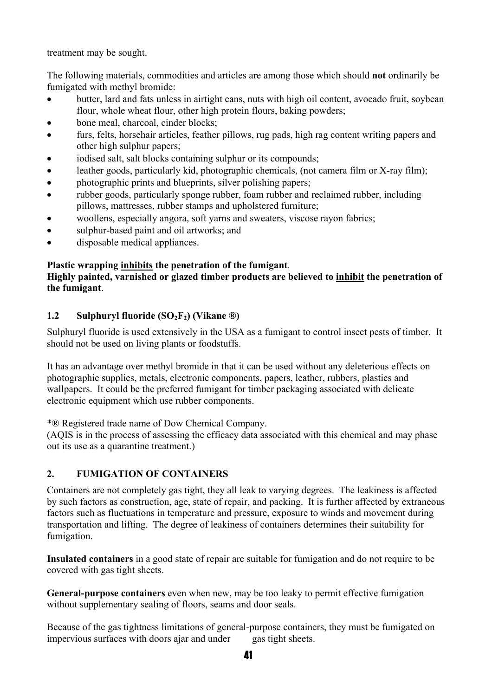treatment may be sought.

The following materials, commodities and articles are among those which should **not** ordinarily be fumigated with methyl bromide:

- butter, lard and fats unless in airtight cans, nuts with high oil content, avocado fruit, soybean flour, whole wheat flour, other high protein flours, baking powders;
- bone meal, charcoal, cinder blocks;
- furs, felts, horsehair articles, feather pillows, rug pads, high rag content writing papers and other high sulphur papers;
- iodised salt, salt blocks containing sulphur or its compounds;
- leather goods, particularly kid, photographic chemicals, (not camera film or X-ray film);
- photographic prints and blueprints, silver polishing papers;
- rubber goods, particularly sponge rubber, foam rubber and reclaimed rubber, including pillows, mattresses, rubber stamps and upholstered furniture;
- woollens, especially angora, soft yarns and sweaters, viscose rayon fabrics;
- sulphur-based paint and oil artworks; and
- disposable medical appliances.

#### **Plastic wrapping inhibits the penetration of the fumigant**.

#### **Highly painted, varnished or glazed timber products are believed to inhibit the penetration of the fumigant**.

#### **1.2** Sulphuryl fluoride (SO<sub>2</sub>F<sub>2</sub>) (Vikane ®)

Sulphuryl fluoride is used extensively in the USA as a fumigant to control insect pests of timber. It should not be used on living plants or foodstuffs.

It has an advantage over methyl bromide in that it can be used without any deleterious effects on photographic supplies, metals, electronic components, papers, leather, rubbers, plastics and wallpapers. It could be the preferred fumigant for timber packaging associated with delicate electronic equipment which use rubber components.

\*® Registered trade name of Dow Chemical Company.

(AQIS is in the process of assessing the efficacy data associated with this chemical and may phase out its use as a quarantine treatment.)

#### **2. FUMIGATION OF CONTAINERS**

Containers are not completely gas tight, they all leak to varying degrees. The leakiness is affected by such factors as construction, age, state of repair, and packing. It is further affected by extraneous factors such as fluctuations in temperature and pressure, exposure to winds and movement during transportation and lifting. The degree of leakiness of containers determines their suitability for fumigation.

**Insulated containers** in a good state of repair are suitable for fumigation and do not require to be covered with gas tight sheets.

**General-purpose containers** even when new, may be too leaky to permit effective fumigation without supplementary sealing of floors, seams and door seals.

Because of the gas tightness limitations of general-purpose containers, they must be fumigated on impervious surfaces with doors ajar and under gas tight sheets.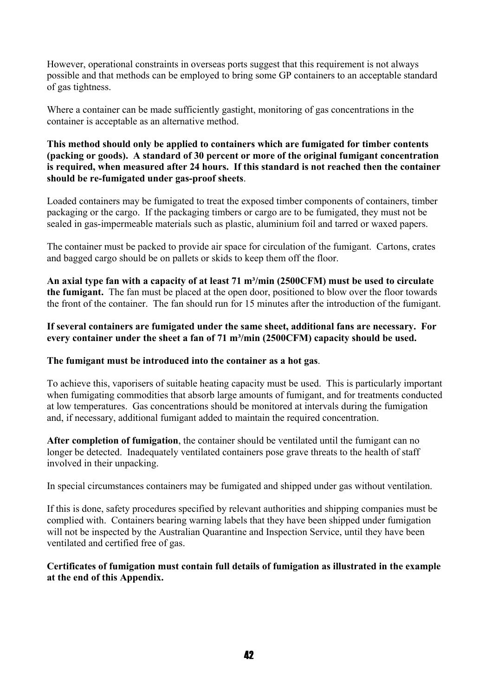However, operational constraints in overseas ports suggest that this requirement is not always possible and that methods can be employed to bring some GP containers to an acceptable standard of gas tightness.

Where a container can be made sufficiently gastight, monitoring of gas concentrations in the container is acceptable as an alternative method.

#### **This method should only be applied to containers which are fumigated for timber contents (packing or goods). A standard of 30 percent or more of the original fumigant concentration is required, when measured after 24 hours. If this standard is not reached then the container should be re-fumigated under gas-proof sheets**.

Loaded containers may be fumigated to treat the exposed timber components of containers, timber packaging or the cargo. If the packaging timbers or cargo are to be fumigated, they must not be sealed in gas-impermeable materials such as plastic, aluminium foil and tarred or waxed papers.

The container must be packed to provide air space for circulation of the fumigant. Cartons, crates and bagged cargo should be on pallets or skids to keep them off the floor.

An axial type fan with a capacity of at least 71 m<sup>3</sup>/min (2500CFM) must be used to circulate **the fumigant.** The fan must be placed at the open door, positioned to blow over the floor towards the front of the container. The fan should run for 15 minutes after the introduction of the fumigant.

#### **If several containers are fumigated under the same sheet, additional fans are necessary. For**  every container under the sheet a fan of 71 m<sup>3</sup>/min (2500CFM) capacity should be used.

#### **The fumigant must be introduced into the container as a hot gas**.

To achieve this, vaporisers of suitable heating capacity must be used. This is particularly important when fumigating commodities that absorb large amounts of fumigant, and for treatments conducted at low temperatures. Gas concentrations should be monitored at intervals during the fumigation and, if necessary, additional fumigant added to maintain the required concentration.

**After completion of fumigation**, the container should be ventilated until the fumigant can no longer be detected. Inadequately ventilated containers pose grave threats to the health of staff involved in their unpacking.

In special circumstances containers may be fumigated and shipped under gas without ventilation.

If this is done, safety procedures specified by relevant authorities and shipping companies must be complied with. Containers bearing warning labels that they have been shipped under fumigation will not be inspected by the Australian Quarantine and Inspection Service, until they have been ventilated and certified free of gas.

#### **Certificates of fumigation must contain full details of fumigation as illustrated in the example at the end of this Appendix.**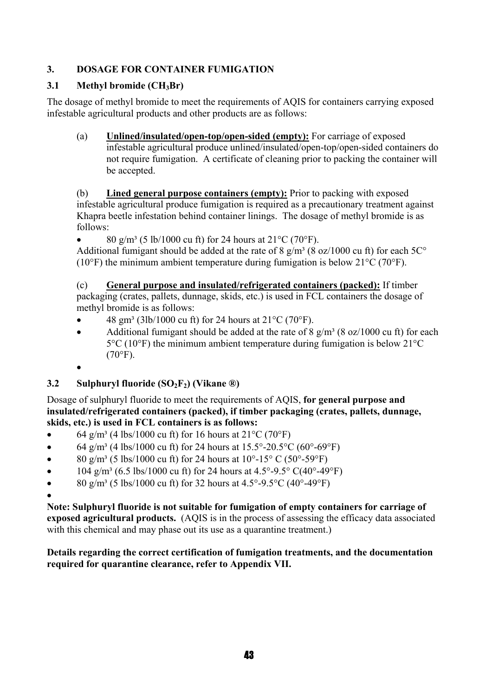#### **3. DOSAGE FOR CONTAINER FUMIGATION**

#### **3.1 Methyl bromide (CH3Br)**

The dosage of methyl bromide to meet the requirements of AQIS for containers carrying exposed infestable agricultural products and other products are as follows:

(a) **Unlined/insulated/open-top/open-sided (empty):** For carriage of exposed infestable agricultural produce unlined/insulated/open-top/open-sided containers do not require fumigation. A certificate of cleaning prior to packing the container will be accepted.

(b) **Lined general purpose containers (empty):** Prior to packing with exposed infestable agricultural produce fumigation is required as a precautionary treatment against Khapra beetle infestation behind container linings. The dosage of methyl bromide is as follows:

80 g/m<sup>3</sup> (5 lb/1000 cu ft) for 24 hours at  $21^{\circ}$ C (70°F).

Additional fumigant should be added at the rate of 8  $g/m<sup>3</sup>$  (8 oz/1000 cu ft) for each 5C<sup>o</sup> (10 $\degree$ F) the minimum ambient temperature during fumigation is below 21 $\degree$ C (70 $\degree$ F).

(c) **General purpose and insulated/refrigerated containers (packed):** If timber packaging (crates, pallets, dunnage, skids, etc.) is used in FCL containers the dosage of methyl bromide is as follows:

- 48 gm³ (3lb/1000 cu ft) for 24 hours at 21°C (70°F).
- Additional fumigant should be added at the rate of 8  $g/m<sup>3</sup>$  (8 oz/1000 cu ft) for each 5°C (10°F) the minimum ambient temperature during fumigation is below 21°C  $(70^{\circ}F)$ .
- •

#### **3.2** Sulphuryl fluoride (SO<sub>2</sub>F<sub>2</sub>) (Vikane ®)

Dosage of sulphuryl fluoride to meet the requirements of AQIS, **for general purpose and insulated/refrigerated containers (packed), if timber packaging (crates, pallets, dunnage, skids, etc.) is used in FCL containers is as follows:** 

- 64 g/m<sup>3</sup> (4 lbs/1000 cu ft) for 16 hours at  $21^{\circ}$ C (70<sup>o</sup>F)
- 64 g/m<sup>3</sup> (4 lbs/1000 cu ft) for 24 hours at  $15.5^{\circ}$ -20.5<sup>o</sup>C (60<sup>o</sup>-69<sup>o</sup>F)
- 80 g/m<sup>3</sup> (5 lbs/1000 cu ft) for 24 hours at  $10^{\circ}$ -15° C (50°-59°F)
- $104 \text{ g/m}^3$  (6.5 lbs/1000 cu ft) for 24 hours at 4.5°-9.5° C(40°-49°F)
- 80 g/m<sup>3</sup> (5 lbs/1000 cu ft) for 32 hours at  $4.5^{\circ}$ -9.5°C (40°-49°F)
- •

**Note: Sulphuryl fluoride is not suitable for fumigation of empty containers for carriage of exposed agricultural products.** (AQIS is in the process of assessing the efficacy data associated with this chemical and may phase out its use as a quarantine treatment.)

**Details regarding the correct certification of fumigation treatments, and the documentation required for quarantine clearance, refer to Appendix VII.**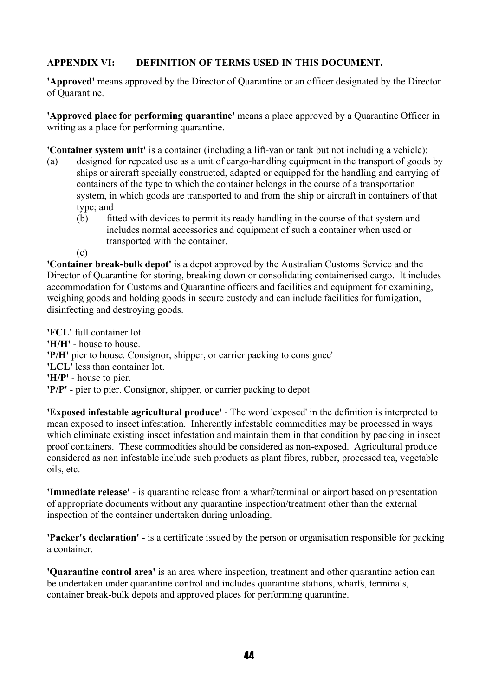#### **APPENDIX VI: DEFINITION OF TERMS USED IN THIS DOCUMENT.**

**'Approved'** means approved by the Director of Quarantine or an officer designated by the Director of Quarantine.

**'Approved place for performing quarantine'** means a place approved by a Quarantine Officer in writing as a place for performing quarantine.

**'Container system unit'** is a container (including a lift-van or tank but not including a vehicle):

- (a) designed for repeated use as a unit of cargo-handling equipment in the transport of goods by ships or aircraft specially constructed, adapted or equipped for the handling and carrying of containers of the type to which the container belongs in the course of a transportation system, in which goods are transported to and from the ship or aircraft in containers of that type; and
	- (b) fitted with devices to permit its ready handling in the course of that system and includes normal accessories and equipment of such a container when used or transported with the container.

(c)

**'Container break-bulk depot'** is a depot approved by the Australian Customs Service and the Director of Quarantine for storing, breaking down or consolidating containerised cargo. It includes accommodation for Customs and Quarantine officers and facilities and equipment for examining, weighing goods and holding goods in secure custody and can include facilities for fumigation, disinfecting and destroying goods.

**'FCL'** full container lot. **'H/H'** - house to house. **'P/H'** pier to house. Consignor, shipper, or carrier packing to consignee' **'LCL'** less than container lot. **'H/P'** - house to pier. **'P/P'** - pier to pier. Consignor, shipper, or carrier packing to depot

**'Exposed infestable agricultural produce'** - The word 'exposed' in the definition is interpreted to mean exposed to insect infestation. Inherently infestable commodities may be processed in ways which eliminate existing insect infestation and maintain them in that condition by packing in insect proof containers. These commodities should be considered as non-exposed. Agricultural produce considered as non infestable include such products as plant fibres, rubber, processed tea, vegetable oils, etc.

**'Immediate release'** - is quarantine release from a wharf/terminal or airport based on presentation of appropriate documents without any quarantine inspection/treatment other than the external inspection of the container undertaken during unloading.

**'Packer's declaration' -** is a certificate issued by the person or organisation responsible for packing a container.

**'Quarantine control area'** is an area where inspection, treatment and other quarantine action can be undertaken under quarantine control and includes quarantine stations, wharfs, terminals, container break-bulk depots and approved places for performing quarantine.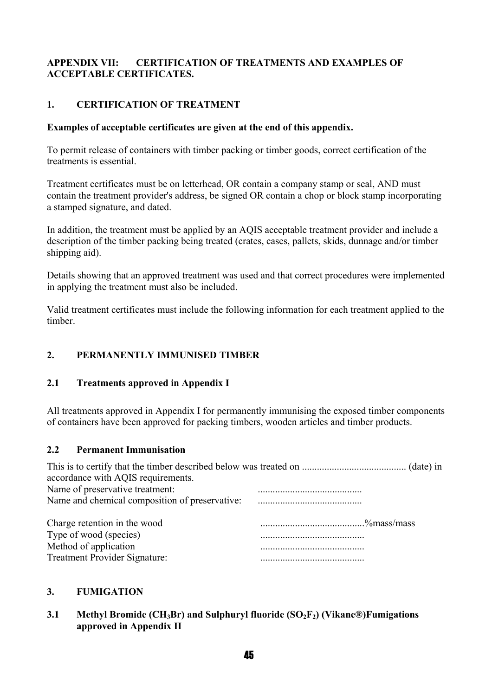#### **APPENDIX VII: CERTIFICATION OF TREATMENTS AND EXAMPLES OF ACCEPTABLE CERTIFICATES.**

#### **1. CERTIFICATION OF TREATMENT**

#### **Examples of acceptable certificates are given at the end of this appendix.**

To permit release of containers with timber packing or timber goods, correct certification of the treatments is essential.

Treatment certificates must be on letterhead, OR contain a company stamp or seal, AND must contain the treatment provider's address, be signed OR contain a chop or block stamp incorporating a stamped signature, and dated.

In addition, the treatment must be applied by an AQIS acceptable treatment provider and include a description of the timber packing being treated (crates, cases, pallets, skids, dunnage and/or timber shipping aid).

Details showing that an approved treatment was used and that correct procedures were implemented in applying the treatment must also be included.

Valid treatment certificates must include the following information for each treatment applied to the timber.

#### **2. PERMANENTLY IMMUNISED TIMBER**

#### **2.1 Treatments approved in Appendix I**

All treatments approved in Appendix I for permanently immunising the exposed timber components of containers have been approved for packing timbers, wooden articles and timber products.

#### **2.2 Permanent Immunisation**

| accordance with AQIS requirements.             |  |
|------------------------------------------------|--|
| Name of preservative treatment:                |  |
| Name and chemical composition of preservative: |  |
|                                                |  |
|                                                |  |
| Charge retention in the wood                   |  |
| Type of wood (species)                         |  |
| Method of application                          |  |

#### **3. FUMIGATION**

#### **3.1** Methyl Bromide (CH<sub>3</sub>Br) and Sulphuryl fluoride (SO<sub>2</sub>F<sub>2</sub>) (Vikane®)Fumigations **approved in Appendix II**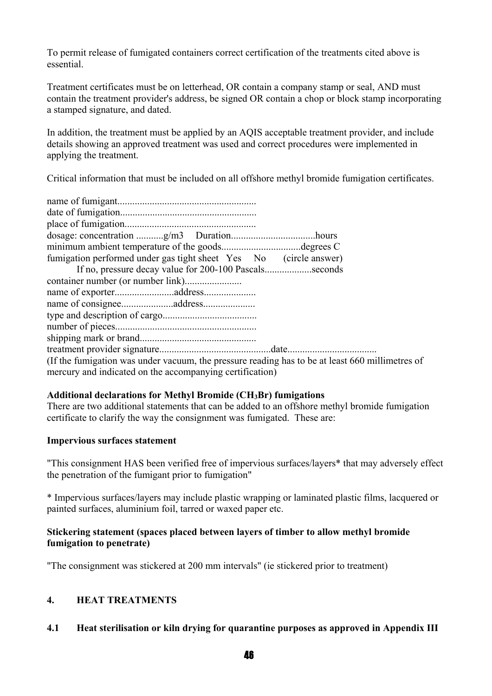To permit release of fumigated containers correct certification of the treatments cited above is essential.

Treatment certificates must be on letterhead, OR contain a company stamp or seal, AND must contain the treatment provider's address, be signed OR contain a chop or block stamp incorporating a stamped signature, and dated.

In addition, the treatment must be applied by an AQIS acceptable treatment provider, and include details showing an approved treatment was used and correct procedures were implemented in applying the treatment.

Critical information that must be included on all offshore methyl bromide fumigation certificates.

| minimum ambient temperature of the goodsdegrees C                                               |
|-------------------------------------------------------------------------------------------------|
| fumigation performed under gas tight sheet Yes No (circle answer)                               |
| If no, pressure decay value for 200-100 Pascalsseconds                                          |
|                                                                                                 |
|                                                                                                 |
|                                                                                                 |
|                                                                                                 |
|                                                                                                 |
|                                                                                                 |
|                                                                                                 |
| (If the fumigation was under vacuum, the pressure reading has to be at least 660 millimetres of |
| mercury and indicated on the accompanying certification)                                        |
|                                                                                                 |

#### **Additional declarations for Methyl Bromide (CH3Br) fumigations**

There are two additional statements that can be added to an offshore methyl bromide fumigation certificate to clarify the way the consignment was fumigated. These are:

#### **Impervious surfaces statement**

"This consignment HAS been verified free of impervious surfaces/layers\* that may adversely effect the penetration of the fumigant prior to fumigation"

\* Impervious surfaces/layers may include plastic wrapping or laminated plastic films, lacquered or painted surfaces, aluminium foil, tarred or waxed paper etc.

#### **Stickering statement (spaces placed between layers of timber to allow methyl bromide fumigation to penetrate)**

"The consignment was stickered at 200 mm intervals" (ie stickered prior to treatment)

#### **4. HEAT TREATMENTS**

**4.1 Heat sterilisation or kiln drying for quarantine purposes as approved in Appendix III**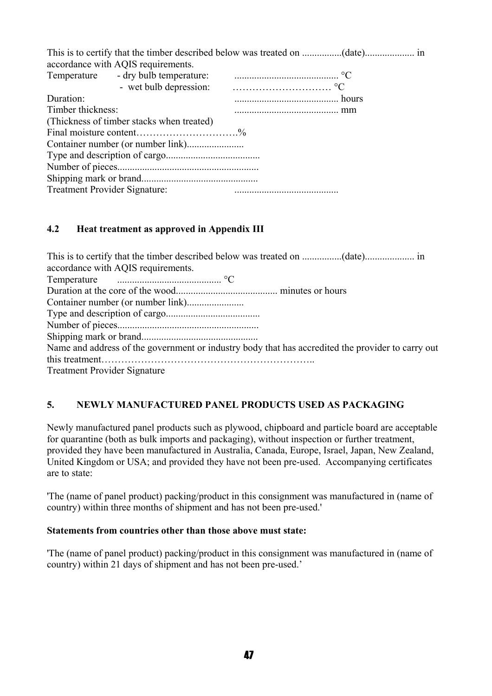|                               | accordance with AQIS requirements.                                                                               |  |  |
|-------------------------------|------------------------------------------------------------------------------------------------------------------|--|--|
|                               |                                                                                                                  |  |  |
|                               | - wet bulb depression: $\cdots$ $\cdots$ $\cdots$ $\cdots$ $\cdots$ $\cdots$ $\cdots$ $\cdots$ $\cdots$ $\cdots$ |  |  |
| Duration:                     |                                                                                                                  |  |  |
| Timber thickness:             |                                                                                                                  |  |  |
|                               | (Thickness of timber stacks when treated)                                                                        |  |  |
|                               | Final moisture content%                                                                                          |  |  |
|                               |                                                                                                                  |  |  |
|                               |                                                                                                                  |  |  |
|                               |                                                                                                                  |  |  |
|                               |                                                                                                                  |  |  |
| Treatment Provider Signature: |                                                                                                                  |  |  |

#### **4.2 Heat treatment as approved in Appendix III**

| accordance with AQIS requirements.                                                                |
|---------------------------------------------------------------------------------------------------|
|                                                                                                   |
|                                                                                                   |
|                                                                                                   |
|                                                                                                   |
|                                                                                                   |
|                                                                                                   |
| Name and address of the government or industry body that has accredited the provider to carry out |
|                                                                                                   |
| <b>Treatment Provider Signature</b>                                                               |

#### **5. NEWLY MANUFACTURED PANEL PRODUCTS USED AS PACKAGING**

Newly manufactured panel products such as plywood, chipboard and particle board are acceptable for quarantine (both as bulk imports and packaging), without inspection or further treatment, provided they have been manufactured in Australia, Canada, Europe, Israel, Japan, New Zealand, United Kingdom or USA; and provided they have not been pre-used. Accompanying certificates are to state:

'The (name of panel product) packing/product in this consignment was manufactured in (name of country) within three months of shipment and has not been pre-used.'

#### **Statements from countries other than those above must state:**

'The (name of panel product) packing/product in this consignment was manufactured in (name of country) within 21 days of shipment and has not been pre-used.'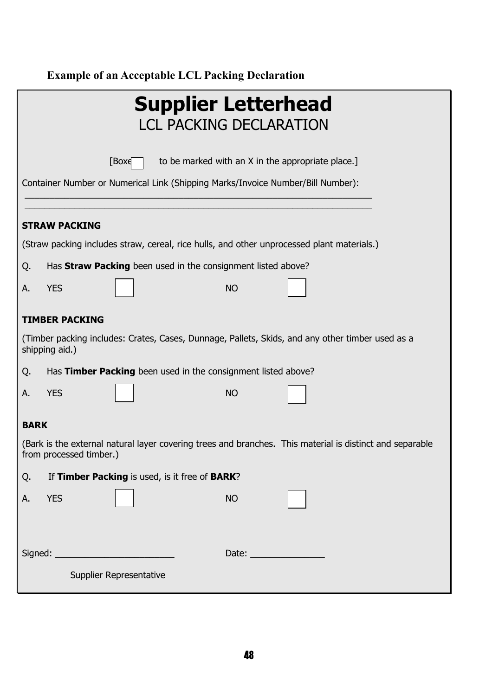#### **Example of an Acceptable LCL Packing Declaration**

| <b>Supplier Letterhead</b><br><b>LCL PACKING DECLARATION</b>                                                                        |
|-------------------------------------------------------------------------------------------------------------------------------------|
| to be marked with an X in the appropriate place.]<br>[Boxe]                                                                         |
| Container Number or Numerical Link (Shipping Marks/Invoice Number/Bill Number):                                                     |
| <b>STRAW PACKING</b>                                                                                                                |
| (Straw packing includes straw, cereal, rice hulls, and other unprocessed plant materials.)                                          |
| Has Straw Packing been used in the consignment listed above?<br>Q.                                                                  |
| <b>YES</b><br><b>NO</b><br>Α.                                                                                                       |
| <b>TIMBER PACKING</b>                                                                                                               |
| (Timber packing includes: Crates, Cases, Dunnage, Pallets, Skids, and any other timber used as a<br>shipping aid.)                  |
| Has Timber Packing been used in the consignment listed above?<br>Q.                                                                 |
| <b>YES</b><br><b>NO</b><br>А.                                                                                                       |
| <b>BARK</b>                                                                                                                         |
| (Bark is the external natural layer covering trees and branches. This material is distinct and separable<br>from processed timber.) |
| If Timber Packing is used, is it free of BARK?<br>Q.                                                                                |
| <b>YES</b><br><b>NO</b><br>Α.                                                                                                       |
| Signed: _____________________________<br>Date: $\frac{1}{\sqrt{1-\frac{1}{2}}\cdot\frac{1}{2}}$                                     |
| Supplier Representative                                                                                                             |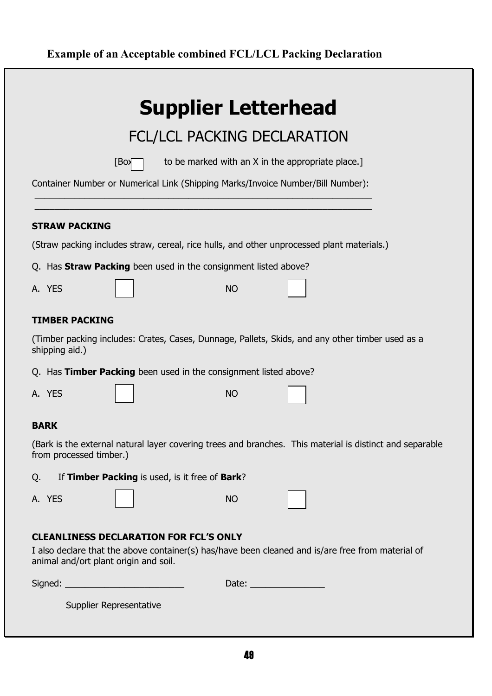### **Example of an Acceptable combined FCL/LCL Packing Declaration**

| <b>Supplier Letterhead</b>                                                                                                                                                                  |
|---------------------------------------------------------------------------------------------------------------------------------------------------------------------------------------------|
| FCL/LCL PACKING DECLARATION                                                                                                                                                                 |
| to be marked with an X in the appropriate place.]<br>[Box                                                                                                                                   |
| Container Number or Numerical Link (Shipping Marks/Invoice Number/Bill Number):                                                                                                             |
| <b>STRAW PACKING</b>                                                                                                                                                                        |
| (Straw packing includes straw, cereal, rice hulls, and other unprocessed plant materials.)                                                                                                  |
| Q. Has <b>Straw Packing</b> been used in the consignment listed above?                                                                                                                      |
| <b>NO</b><br>A. YES                                                                                                                                                                         |
| <b>TIMBER PACKING</b>                                                                                                                                                                       |
| (Timber packing includes: Crates, Cases, Dunnage, Pallets, Skids, and any other timber used as a<br>shipping aid.)                                                                          |
| Q. Has Timber Packing been used in the consignment listed above?                                                                                                                            |
| A. YES<br><b>NO</b>                                                                                                                                                                         |
| <b>BARK</b>                                                                                                                                                                                 |
| (Bark is the external natural layer covering trees and branches. This material is distinct and separable<br>from processed timber.)                                                         |
| If Timber Packing is used, is it free of Bark?<br>Q.                                                                                                                                        |
| A. YES<br><b>NO</b>                                                                                                                                                                         |
| <b>CLEANLINESS DECLARATION FOR FCL'S ONLY</b><br>I also declare that the above container(s) has/have been cleaned and is/are free from material of<br>animal and/ort plant origin and soil. |
| Date: $\frac{1}{\sqrt{1-\frac{1}{2}}\left(1-\frac{1}{2}\right)}$                                                                                                                            |
| Supplier Representative                                                                                                                                                                     |
| 48                                                                                                                                                                                          |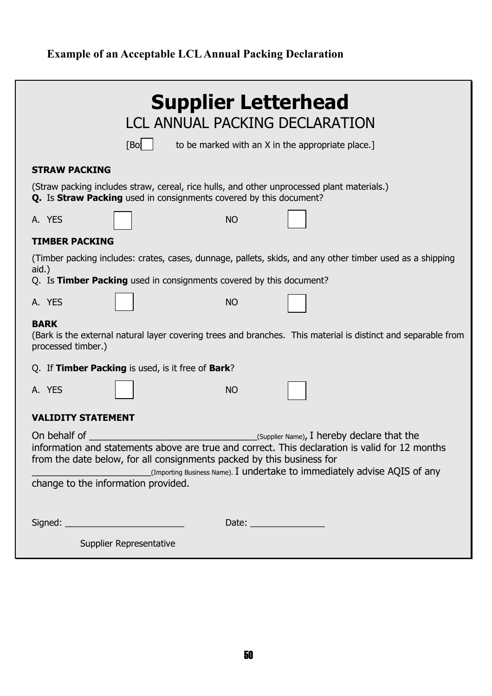### **Example of an Acceptable LCLAnnual Packing Declaration**

| <b>Supplier Letterhead</b><br><b>LCL ANNUAL PACKING DECLARATION</b><br>[Bo]<br>to be marked with an X in the appropriate place.]                                                                                                                                                                                                                         |  |  |
|----------------------------------------------------------------------------------------------------------------------------------------------------------------------------------------------------------------------------------------------------------------------------------------------------------------------------------------------------------|--|--|
| <b>STRAW PACKING</b><br>(Straw packing includes straw, cereal, rice hulls, and other unprocessed plant materials.)<br>Q. Is Straw Packing used in consignments covered by this document?                                                                                                                                                                 |  |  |
| A. YES<br><b>NO</b><br><b>TIMBER PACKING</b>                                                                                                                                                                                                                                                                                                             |  |  |
| (Timber packing includes: crates, cases, dunnage, pallets, skids, and any other timber used as a shipping<br>aid.)<br>Q. Is Timber Packing used in consignments covered by this document?                                                                                                                                                                |  |  |
| <b>NO</b><br>A. YES                                                                                                                                                                                                                                                                                                                                      |  |  |
| <b>BARK</b><br>(Bark is the external natural layer covering trees and branches. This material is distinct and separable from<br>processed timber.)                                                                                                                                                                                                       |  |  |
| Q. If Timber Packing is used, is it free of Bark?                                                                                                                                                                                                                                                                                                        |  |  |
| A. YES<br><b>NO</b>                                                                                                                                                                                                                                                                                                                                      |  |  |
| <b>VALIDITY STATEMENT</b>                                                                                                                                                                                                                                                                                                                                |  |  |
| On behalf of<br>(Supplier Name), I hereby declare that the<br>information and statements above are true and correct. This declaration is valid for 12 months<br>from the date below, for all consignments packed by this business for<br>(Importing Business Name). I undertake to immediately advise AQIS of any<br>change to the information provided. |  |  |
|                                                                                                                                                                                                                                                                                                                                                          |  |  |
| Supplier Representative                                                                                                                                                                                                                                                                                                                                  |  |  |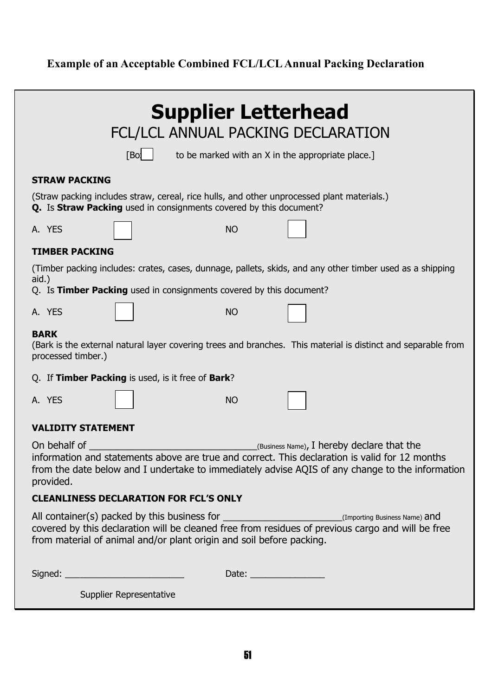#### **Example of an Acceptable Combined FCL/LCLAnnual Packing Declaration**

| <b>Supplier Letterhead</b><br>FCL/LCL ANNUAL PACKING DECLARATION                                                                                                                                                                                                                  |
|-----------------------------------------------------------------------------------------------------------------------------------------------------------------------------------------------------------------------------------------------------------------------------------|
| [Bo]<br>to be marked with an X in the appropriate place.]                                                                                                                                                                                                                         |
| <b>STRAW PACKING</b>                                                                                                                                                                                                                                                              |
| (Straw packing includes straw, cereal, rice hulls, and other unprocessed plant materials.)<br>Q. Is Straw Packing used in consignments covered by this document?                                                                                                                  |
| A. YES<br><b>NO</b>                                                                                                                                                                                                                                                               |
| <b>TIMBER PACKING</b>                                                                                                                                                                                                                                                             |
| (Timber packing includes: crates, cases, dunnage, pallets, skids, and any other timber used as a shipping                                                                                                                                                                         |
| aid.)<br>Q. Is Timber Packing used in consignments covered by this document?                                                                                                                                                                                                      |
| A. YES<br><b>NO</b>                                                                                                                                                                                                                                                               |
| <b>BARK</b><br>(Bark is the external natural layer covering trees and branches. This material is distinct and separable from<br>processed timber.)                                                                                                                                |
| Q. If Timber Packing is used, is it free of Bark?                                                                                                                                                                                                                                 |
| A. YES<br><b>NO</b>                                                                                                                                                                                                                                                               |
| <b>VALIDITY STATEMENT</b>                                                                                                                                                                                                                                                         |
| On behalf of<br>$($ Business Name), I hereby declare that the<br>information and statements above are true and correct. This declaration is valid for 12 months<br>from the date below and I undertake to immediately advise AQIS of any change to the information<br>provided.   |
| <b>CLEANLINESS DECLARATION FOR FCL'S ONLY</b>                                                                                                                                                                                                                                     |
| All container(s) packed by this business for __________________________(Importing Business Name) and<br>covered by this declaration will be cleaned free from residues of previous cargo and will be free<br>from material of animal and/or plant origin and soil before packing. |
|                                                                                                                                                                                                                                                                                   |
| Supplier Representative                                                                                                                                                                                                                                                           |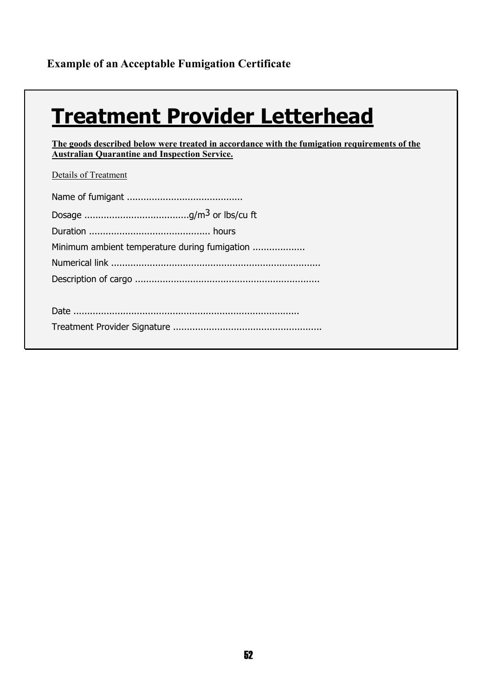## **Treatment Provider Letterhead**

**The goods described below were treated in accordance with the fumigation requirements of the Australian Quarantine and Inspection Service.**

Details of Treatment

| Minimum ambient temperature during fumigation |
|-----------------------------------------------|
|                                               |
|                                               |
|                                               |
|                                               |
|                                               |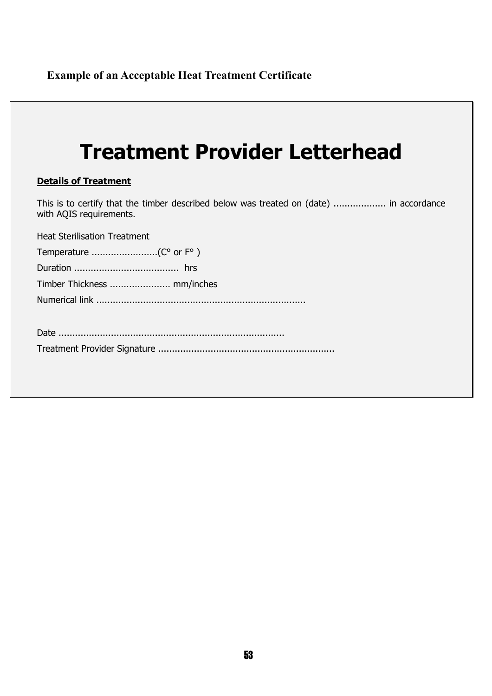## **Treatment Provider Letterhead**

#### **Details of Treatment**

This is to certify that the timber described below was treated on (date) ................... in accordance with AQIS requirements.

Heat Sterilisation Treatment

|--|--|--|

Duration ...................................... hrs

Timber Thickness ...................... mm/inches

Numerical link ............................................................................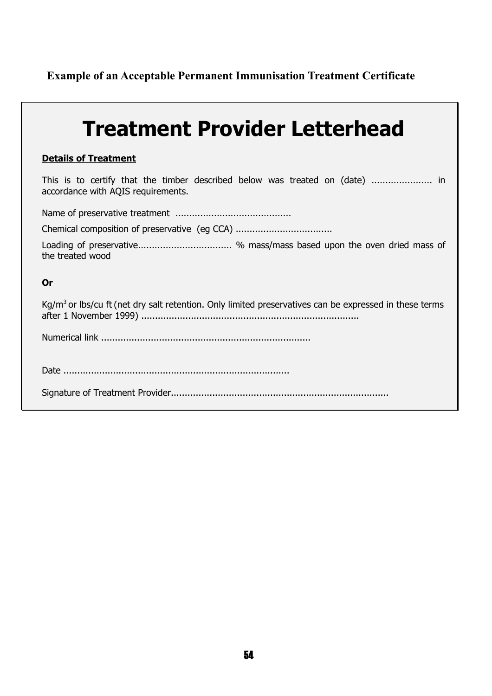**Example of an Acceptable Permanent Immunisation Treatment Certificate** 

| <b>Treatment Provider Letterhead</b>                                                                               |
|--------------------------------------------------------------------------------------------------------------------|
| <b>Details of Treatment</b>                                                                                        |
| This is to certify that the timber described below was treated on (date)  in<br>accordance with AQIS requirements. |
|                                                                                                                    |
|                                                                                                                    |
| Loading of preservative % mass/mass based upon the oven dried mass of<br>the treated wood                          |
| Or                                                                                                                 |
| Kg/m <sup>3</sup> or lbs/cu ft (net dry salt retention. Only limited preservatives can be expressed in these terms |
|                                                                                                                    |
|                                                                                                                    |
|                                                                                                                    |